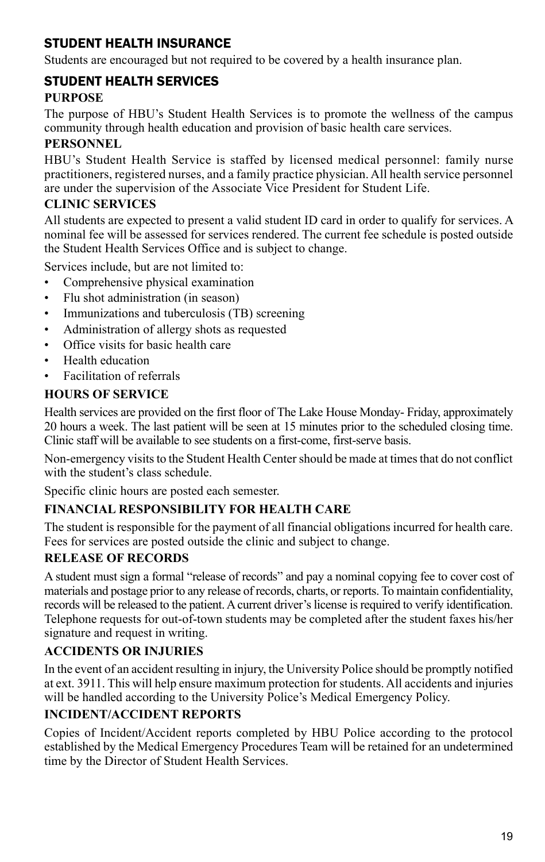## Student Health Insurance

Students are encouraged but not required to be covered by a health insurance plan.

## Student Health Services

#### **Purpose**

The purpose of HBU's Student Health Services is to promote the wellness of the campus community through health education and provision of basic health care services.

#### **Personnel**

HBU's Student Health Service is staffed by licensed medical personnel: family nurse practitioners, registered nurses, and a family practice physician. All health service personnel are under the supervision of the Associate Vice President for Student Life.

## **Clinic Services**

All students are expected to present a valid student ID card in order to qualify for services. A nominal fee will be assessed for services rendered. The current fee schedule is posted outside the Student Health Services Office and is subject to change.

Services include, but are not limited to:

- Comprehensive physical examination
- Flu shot administration (in season)
- Immunizations and tuberculosis (TB) screening
- Administration of allergy shots as requested
- Office visits for basic health care
- Health education
- Facilitation of referrals

## **Hours of Service**

Health services are provided on the first floor of The Lake House Monday- Friday, approximately 20 hours a week. The last patient will be seen at 15 minutes prior to the scheduled closing time. Clinic staff will be available to see students on a first-come, first-serve basis.

Non-emergency visits to the Student Health Center should be made at times that do not conflict with the student's class schedule.

Specific clinic hours are posted each semester.

## **Financial Responsibility for Health Care**

The student is responsible for the payment of all financial obligations incurred for health care. Fees for services are posted outside the clinic and subject to change.

## **Release of Records**

A student must sign a formal "release of records" and pay a nominal copying fee to cover cost of materials and postage prior to any release of records, charts, or reports. To maintain confidentiality, records will be released to the patient. A current driver's license is required to verify identification. Telephone requests for out-of-town students may be completed after the student faxes his/her signature and request in writing.

#### **Accidents or Injuries**

In the event of an accident resulting in injury, the University Police should be promptly notified at ext. 3911. This will help ensure maximum protection for students. All accidents and injuries will be handled according to the University Police's Medical Emergency Policy.

## **Incident/Accident Reports**

Copies of Incident/Accident reports completed by HBU Police according to the protocol established by the Medical Emergency Procedures Team will be retained for an undetermined time by the Director of Student Health Services.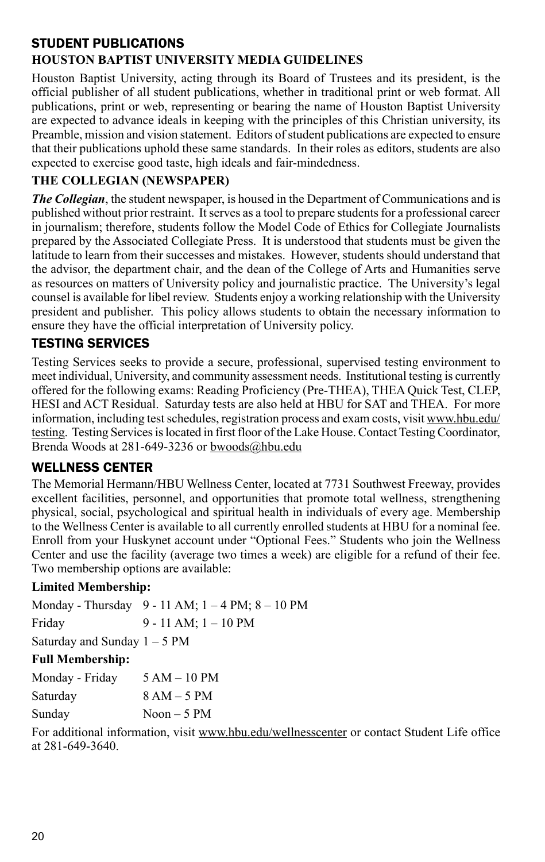## Student Publications

## **Houston Baptist University Media Guidelines**

Houston Baptist University, acting through its Board of Trustees and its president, is the official publisher of all student publications, whether in traditional print or web format. All publications, print or web, representing or bearing the name of Houston Baptist University are expected to advance ideals in keeping with the principles of this Christian university, its Preamble, mission and vision statement. Editors of student publications are expected to ensure that their publications uphold these same standards. In their roles as editors, students are also expected to exercise good taste, high ideals and fair-mindedness.

## **The Collegian (Newspaper)**

*The Collegian*, the student newspaper, is housed in the Department of Communications and is published without prior restraint. It serves as a tool to prepare students for a professional career in journalism; therefore, students follow the Model Code of Ethics for Collegiate Journalists prepared by the Associated Collegiate Press. It is understood that students must be given the latitude to learn from their successes and mistakes. However, students should understand that the advisor, the department chair, and the dean of the College of Arts and Humanities serve as resources on matters of University policy and journalistic practice. The University's legal counsel is available for libel review. Students enjoy a working relationship with the University president and publisher. This policy allows students to obtain the necessary information to ensure they have the official interpretation of University policy.

## Testing Services

Testing Services seeks to provide a secure, professional, supervised testing environment to meet individual, University, and community assessment needs. Institutional testing is currently offered for the following exams: Reading Proficiency (Pre-THEA), THEA Quick Test, CLEP, HESI and ACT Residual. Saturday tests are also held at HBU for SAT and THEA. For more information, including test schedules, registration process and exam costs, visit www.hbu.edu/ testing. Testing Services is located in first floor of the Lake House. Contact Testing Coordinator, Brenda Woods at 281-649-3236 or bwoods@hbu.edu

## Wellness Center

The Memorial Hermann/HBU Wellness Center, located at 7731 Southwest Freeway, provides excellent facilities, personnel, and opportunities that promote total wellness, strengthening physical, social, psychological and spiritual health in individuals of every age. Membership to the Wellness Center is available to all currently enrolled students at HBU for a nominal fee. Enroll from your Huskynet account under "Optional Fees." Students who join the Wellness Center and use the facility (average two times a week) are eligible for a refund of their fee. Two membership options are available:

#### **Limited Membership:**

|                                | Monday - Thursday 9 - 11 AM; $1 - 4$ PM; $8 - 10$ PM |
|--------------------------------|------------------------------------------------------|
| Friday                         | $9 - 11$ AM; $1 - 10$ PM                             |
| Saturday and Sunday $1 - 5$ PM |                                                      |

#### **Full Membership:**

| Monday - Friday | $5 AM - 10 PM$  |
|-----------------|-----------------|
| Saturday        | $8 AM - 5 PM$   |
| Sunday          | $N$ oon $-5$ PM |

For additional information, visit www.hbu.edu/wellnesscenter or contact Student Life office at 281-649-3640.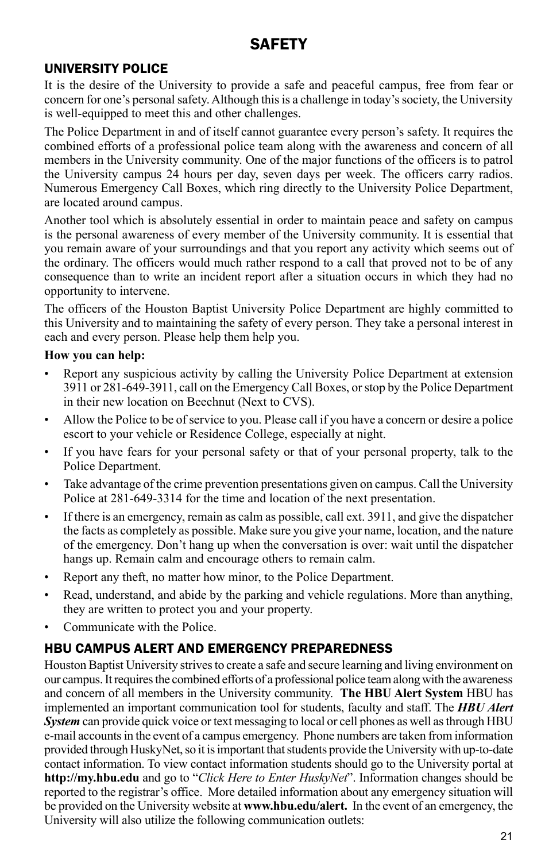# **SAFFTY**

## University Police

It is the desire of the University to provide a safe and peaceful campus, free from fear or concern for one's personal safety. Although this is a challenge in today's society, the University is well-equipped to meet this and other challenges.

The Police Department in and of itself cannot guarantee every person's safety. It requires the combined efforts of a professional police team along with the awareness and concern of all members in the University community. One of the major functions of the officers is to patrol the University campus 24 hours per day, seven days per week. The officers carry radios. Numerous Emergency Call Boxes, which ring directly to the University Police Department, are located around campus.

Another tool which is absolutely essential in order to maintain peace and safety on campus is the personal awareness of every member of the University community. It is essential that you remain aware of your surroundings and that you report any activity which seems out of the ordinary. The officers would much rather respond to a call that proved not to be of any consequence than to write an incident report after a situation occurs in which they had no opportunity to intervene.

The officers of the Houston Baptist University Police Department are highly committed to this University and to maintaining the safety of every person. They take a personal interest in each and every person. Please help them help you.

#### **How you can help:**

- Report any suspicious activity by calling the University Police Department at extension 3911 or 281-649-3911, call on the Emergency Call Boxes, or stop by the Police Department in their new location on Beechnut (Next to CVS).
- Allow the Police to be of service to you. Please call if you have a concern or desire a police escort to your vehicle or Residence College, especially at night.
- If you have fears for your personal safety or that of your personal property, talk to the Police Department.
- Take advantage of the crime prevention presentations given on campus. Call the University Police at 281-649-3314 for the time and location of the next presentation.
- If there is an emergency, remain as calm as possible, call ext. 3911, and give the dispatcher the facts as completely as possible. Make sure you give your name, location, and the nature of the emergency. Don't hang up when the conversation is over: wait until the dispatcher hangs up. Remain calm and encourage others to remain calm.
- Report any theft, no matter how minor, to the Police Department.
- Read, understand, and abide by the parking and vehicle regulations. More than anything, they are written to protect you and your property.
- Communicate with the Police.

# HBU CAMPUS Alert and Emergency Preparedness

Houston Baptist University strives to create a safe and secure learning and living environment on our campus. It requires the combined efforts of a professional police team along with the awareness and concern of all members in the University community. **The HBU Alert System** HBU has implemented an important communication tool for students, faculty and staff. The *HBU Alert System* can provide quick voice or text messaging to local or cell phones as well as through HBU e-mail accounts in the event of a campus emergency. Phone numbers are taken from information provided through HuskyNet, so it is important that students provide the University with up-to-date contact information. To view contact information students should go to the University portal at **http://my.hbu.edu** and go to "*Click Here to Enter HuskyNet*". Information changes should be reported to the registrar's office. More detailed information about any emergency situation will be provided on the University website at **www.hbu.edu/alert.** In the event of an emergency, the University will also utilize the following communication outlets: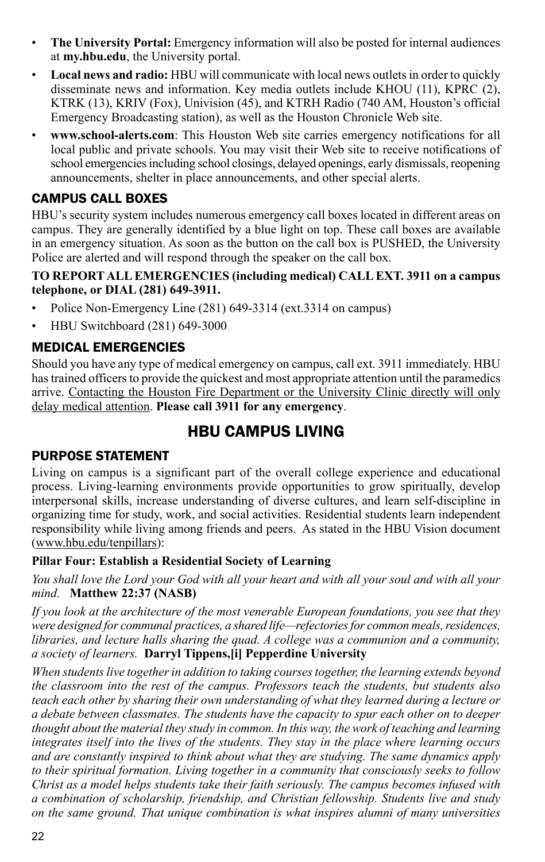- **The University Portal:** Emergency information will also be posted for internal audiences at **my.hbu.edu**, the University portal.
- **Local news and radio:** HBU will communicate with local news outlets in order to quickly disseminate news and information. Key media outlets include KHOU (11), KPRC (2), KTRK (13), KRIV (Fox), Univision (45), and KTRH Radio (740 AM, Houston's official Emergency Broadcasting station), as well as the Houston Chronicle Web site.
- **www.school-alerts.com**: This Houston Web site carries emergency notifications for all local public and private schools. You may visit their Web site to receive notifications of school emergencies including school closings, delayed openings, early dismissals, reopening announcements, shelter in place announcements, and other special alerts.

## CAMPUS CALL BOXES

HBU's security system includes numerous emergency call boxes located in different areas on campus. They are generally identified by a blue light on top. These call boxes are available in an emergency situation. As soon as the button on the call box is PUSHED, the University Police are alerted and will respond through the speaker on the call box.

#### **TO REPORT ALL EMERGENCIES (including medical) CALL EXT. 3911 on a campus telephone, or DIAL (281) 649-3911.**

- Police Non-Emergency Line (281) 649-3314 (ext.3314 on campus)
- HBU Switchboard (281) 649-3000

## Medical Emergencies

Should you have any type of medical emergency on campus, call ext. 3911 immediately. HBU has trained officers to provide the quickest and most appropriate attention until the paramedics arrive. Contacting the Houston Fire Department or the University Clinic directly will only delay medical attention. **Please call 3911 for any emergency**.

# hbu Campus living

## Purpose Statement

Living on campus is a significant part of the overall college experience and educational process. Living-learning environments provide opportunities to grow spiritually, develop interpersonal skills, increase understanding of diverse cultures, and learn self-discipline in organizing time for study, work, and social activities. Residential students learn independent responsibility while living among friends and peers. As stated in the HBU Vision document (www.hbu.edu/tenpillars):

#### **Pillar Four: Establish a Residential Society of Learning**

*You shall love the Lord your God with all your heart and with all your soul and with all your mind.* **Matthew 22:37 (NASB)**

*If you look at the architecture of the most venerable European foundations, you see that they were designed for communal practices, a shared life—refectories for common meals, residences, libraries, and lecture halls sharing the quad. A college was a communion and a community, a society of learners.* **Darryl Tippens,[i] Pepperdine University**

*When students live together in addition to taking courses together, the learning extends beyond the classroom into the rest of the campus. Professors teach the students, but students also teach each other by sharing their own understanding of what they learned during a lecture or a debate between classmates. The students have the capacity to spur each other on to deeper thought about the material they study in common. In this way, the work of teaching and learning integrates itself into the lives of the students. They stay in the place where learning occurs and are constantly inspired to think about what they are studying. The same dynamics apply to their spiritual formation. Living together in a community that consciously seeks to follow Christ as a model helps students take their faith seriously. The campus becomes infused with a combination of scholarship, friendship, and Christian fellowship. Students live and study on the same ground. That unique combination is what inspires alumni of many universities*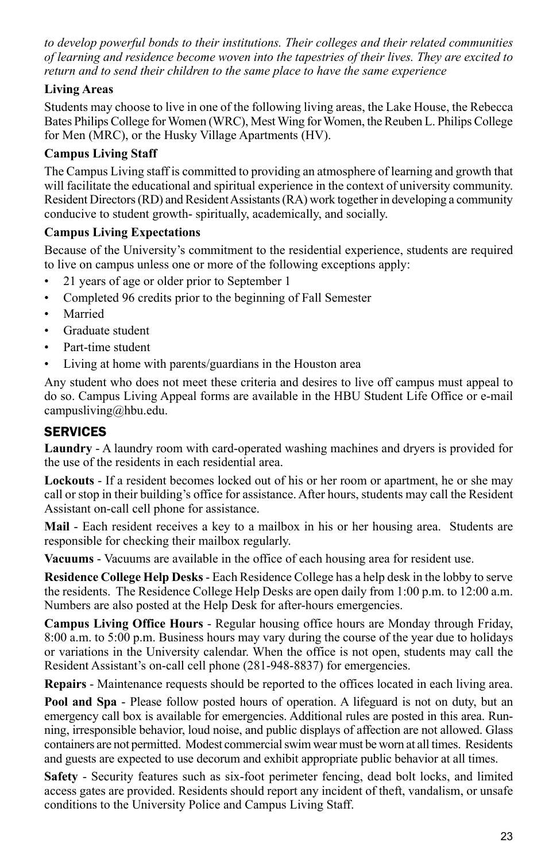*to develop powerful bonds to their institutions. Their colleges and their related communities of learning and residence become woven into the tapestries of their lives. They are excited to return and to send their children to the same place to have the same experience*

## **Living Areas**

Students may choose to live in one of the following living areas, the Lake House, the Rebecca Bates Philips College for Women (WRC), Mest Wing for Women, the Reuben L. Philips College for Men (MRC), or the Husky Village Apartments (HV).

#### **Campus Living Staff**

The Campus Living staff is committed to providing an atmosphere of learning and growth that will facilitate the educational and spiritual experience in the context of university community. Resident Directors (RD) and Resident Assistants (RA) work together in developing a community conducive to student growth- spiritually, academically, and socially.

#### **Campus Living Expectations**

Because of the University's commitment to the residential experience, students are required to live on campus unless one or more of the following exceptions apply:

- 21 years of age or older prior to September 1
- Completed 96 credits prior to the beginning of Fall Semester
- Married
- Graduate student
- Part-time student
- Living at home with parents/guardians in the Houston area

Any student who does not meet these criteria and desires to live off campus must appeal to do so. Campus Living Appeal forms are available in the HBU Student Life Office or e-mail campusliving@hbu.edu.

## **SERVICES**

**Laundry** - A laundry room with card-operated washing machines and dryers is provided for the use of the residents in each residential area.

**Lockouts** - If a resident becomes locked out of his or her room or apartment, he or she may call or stop in their building's office for assistance. After hours, students may call the Resident Assistant on-call cell phone for assistance.

**Mail** - Each resident receives a key to a mailbox in his or her housing area. Students are responsible for checking their mailbox regularly.

**Vacuums** - Vacuums are available in the office of each housing area for resident use.

**Residence College Help Desks** - Each Residence College has a help desk in the lobby to serve the residents. The Residence College Help Desks are open daily from 1:00 p.m. to 12:00 a.m. Numbers are also posted at the Help Desk for after-hours emergencies.

**Campus Living Office Hours** - Regular housing office hours are Monday through Friday, 8:00 a.m. to 5:00 p.m. Business hours may vary during the course of the year due to holidays or variations in the University calendar. When the office is not open, students may call the Resident Assistant's on-call cell phone (281-948-8837) for emergencies.

**Repairs** - Maintenance requests should be reported to the offices located in each living area.

**Pool and Spa** - Please follow posted hours of operation. A lifeguard is not on duty, but an emergency call box is available for emergencies. Additional rules are posted in this area. Running, irresponsible behavior, loud noise, and public displays of affection are not allowed. Glass containers are not permitted. Modest commercial swim wear must be worn at all times. Residents and guests are expected to use decorum and exhibit appropriate public behavior at all times.

**Safety** - Security features such as six-foot perimeter fencing, dead bolt locks, and limited access gates are provided. Residents should report any incident of theft, vandalism, or unsafe conditions to the University Police and Campus Living Staff.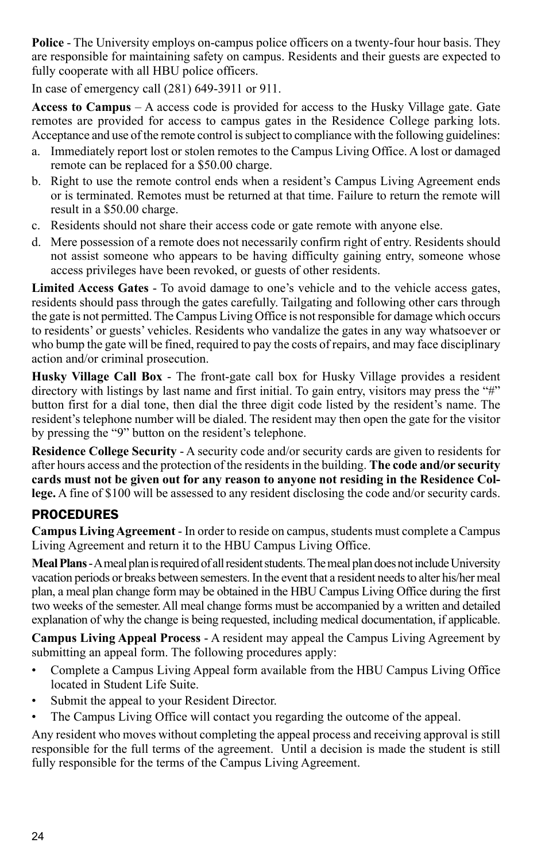**Police** - The University employs on-campus police officers on a twenty-four hour basis. They are responsible for maintaining safety on campus. Residents and their guests are expected to fully cooperate with all HBU police officers.

In case of emergency call (281) 649-3911 or 911.

**Access to Campus** – A access code is provided for access to the Husky Village gate. Gate remotes are provided for access to campus gates in the Residence College parking lots. Acceptance and use of the remote control is subject to compliance with the following guidelines:

- a. Immediately report lost or stolen remotes to the Campus Living Office. A lost or damaged remote can be replaced for a \$50.00 charge.
- b. Right to use the remote control ends when a resident's Campus Living Agreement ends or is terminated. Remotes must be returned at that time. Failure to return the remote will result in a \$50.00 charge.
- c. Residents should not share their access code or gate remote with anyone else.
- d. Mere possession of a remote does not necessarily confirm right of entry. Residents should not assist someone who appears to be having difficulty gaining entry, someone whose access privileges have been revoked, or guests of other residents.

**Limited Access Gates** - To avoid damage to one's vehicle and to the vehicle access gates, residents should pass through the gates carefully. Tailgating and following other cars through the gate is not permitted. The Campus Living Office is not responsible for damage which occurs to residents' or guests' vehicles. Residents who vandalize the gates in any way whatsoever or who bump the gate will be fined, required to pay the costs of repairs, and may face disciplinary action and/or criminal prosecution.

**Husky Village Call Box** - The front-gate call box for Husky Village provides a resident directory with listings by last name and first initial. To gain entry, visitors may press the "#" button first for a dial tone, then dial the three digit code listed by the resident's name. The resident's telephone number will be dialed. The resident may then open the gate for the visitor by pressing the "9" button on the resident's telephone.

**Residence College Security** - A security code and/or security cards are given to residents for after hours access and the protection of the residents in the building. **The code and/or security cards must not be given out for any reason to anyone not residing in the Residence College.** A fine of \$100 will be assessed to any resident disclosing the code and/or security cards.

# **PROCEDURES**

**Campus Living Agreement** - In order to reside on campus, students must complete a Campus Living Agreement and return it to the HBU Campus Living Office.

**Meal Plans** - A meal plan is required of all resident students. The meal plan does not include University vacation periods or breaks between semesters. In the event that a resident needs to alter his/her meal plan, a meal plan change form may be obtained in the HBU Campus Living Office during the first two weeks of the semester. All meal change forms must be accompanied by a written and detailed explanation of why the change is being requested, including medical documentation, if applicable.

**Campus Living Appeal Process** - A resident may appeal the Campus Living Agreement by submitting an appeal form. The following procedures apply:

- Complete a Campus Living Appeal form available from the HBU Campus Living Office located in Student Life Suite.
- Submit the appeal to your Resident Director.
- The Campus Living Office will contact you regarding the outcome of the appeal.

Any resident who moves without completing the appeal process and receiving approval is still responsible for the full terms of the agreement. Until a decision is made the student is still fully responsible for the terms of the Campus Living Agreement.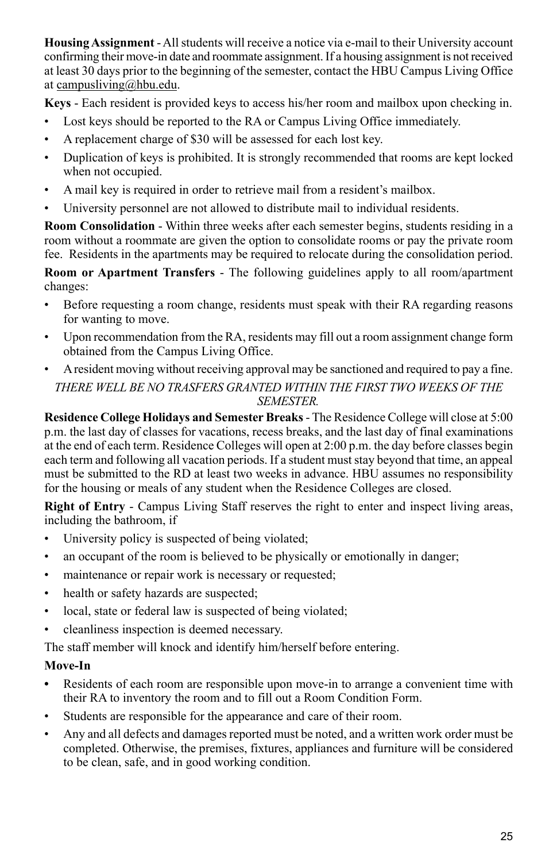**Housing Assignment** - All students will receive a notice via e-mail to their University account confirming their move-in date and roommate assignment. If a housing assignment is not received at least 30 days prior to the beginning of the semester, contact the HBU Campus Living Office at campusliving@hbu.edu.

**Keys** - Each resident is provided keys to access his/her room and mailbox upon checking in.

- Lost keys should be reported to the RA or Campus Living Office immediately.
- A replacement charge of \$30 will be assessed for each lost key.
- Duplication of keys is prohibited. It is strongly recommended that rooms are kept locked when not occupied.
- A mail key is required in order to retrieve mail from a resident's mailbox.
- University personnel are not allowed to distribute mail to individual residents.

**Room Consolidation** - Within three weeks after each semester begins, students residing in a room without a roommate are given the option to consolidate rooms or pay the private room fee. Residents in the apartments may be required to relocate during the consolidation period.

**Room or Apartment Transfers** - The following guidelines apply to all room/apartment changes:

- Before requesting a room change, residents must speak with their RA regarding reasons for wanting to move.
- Upon recommendation from the RA, residents may fill out a room assignment change form obtained from the Campus Living Office.
- A resident moving without receiving approval may be sanctioned and required to pay a fine. *THERE WELL BE NO TRASFERS GRANTED WITHIN THE FIRST TWO WEEKS OF THE SEMESTER.*

**Residence College Holidays and Semester Breaks** - The Residence College will close at 5:00 p.m. the last day of classes for vacations, recess breaks, and the last day of final examinations at the end of each term. Residence Colleges will open at 2:00 p.m. the day before classes begin each term and following all vacation periods. If a student must stay beyond that time, an appeal must be submitted to the RD at least two weeks in advance. HBU assumes no responsibility for the housing or meals of any student when the Residence Colleges are closed.

**Right of Entry** - Campus Living Staff reserves the right to enter and inspect living areas, including the bathroom, if

- University policy is suspected of being violated;
- an occupant of the room is believed to be physically or emotionally in danger;
- maintenance or repair work is necessary or requested;
- health or safety hazards are suspected;
- local, state or federal law is suspected of being violated;
- cleanliness inspection is deemed necessary.

The staff member will knock and identify him/herself before entering.

## **Move-In**

- **•** Residents of each room are responsible upon move-in to arrange a convenient time with their RA to inventory the room and to fill out a Room Condition Form.
- Students are responsible for the appearance and care of their room.
- Any and all defects and damages reported must be noted, and a written work order must be completed. Otherwise, the premises, fixtures, appliances and furniture will be considered to be clean, safe, and in good working condition.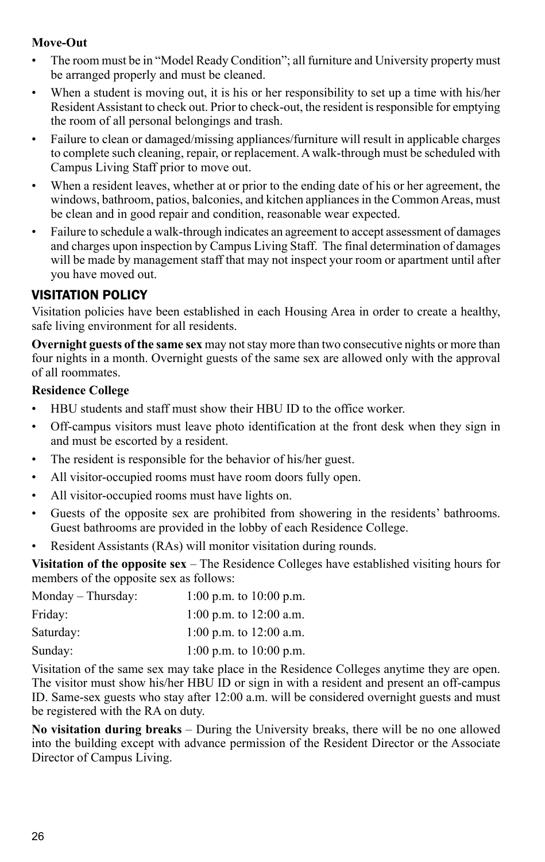#### **Move-Out**

- The room must be in "Model Ready Condition"; all furniture and University property must be arranged properly and must be cleaned.
- When a student is moving out, it is his or her responsibility to set up a time with his/her Resident Assistant to check out. Prior to check-out, the resident is responsible for emptying the room of all personal belongings and trash.
- Failure to clean or damaged/missing appliances/furniture will result in applicable charges to complete such cleaning, repair, or replacement. A walk-through must be scheduled with Campus Living Staff prior to move out.
- When a resident leaves, whether at or prior to the ending date of his or her agreement, the windows, bathroom, patios, balconies, and kitchen appliances in the Common Areas, must be clean and in good repair and condition, reasonable wear expected.
- Failure to schedule a walk-through indicates an agreement to accept assessment of damages and charges upon inspection by Campus Living Staff. The final determination of damages will be made by management staff that may not inspect your room or apartment until after you have moved out.

## Visitation Policy

Visitation policies have been established in each Housing Area in order to create a healthy, safe living environment for all residents.

**Overnight guests of the same sex** may not stay more than two consecutive nights or more than four nights in a month. Overnight guests of the same sex are allowed only with the approval of all roommates.

#### **Residence College**

- HBU students and staff must show their HBU ID to the office worker.
- Off-campus visitors must leave photo identification at the front desk when they sign in and must be escorted by a resident.
- The resident is responsible for the behavior of his/her guest.
- All visitor-occupied rooms must have room doors fully open.
- All visitor-occupied rooms must have lights on.
- Guests of the opposite sex are prohibited from showering in the residents' bathrooms. Guest bathrooms are provided in the lobby of each Residence College.
- Resident Assistants (RAs) will monitor visitation during rounds.

**Visitation of the opposite sex** – The Residence Colleges have established visiting hours for members of the opposite sex as follows:

| Monday – Thursday: | 1:00 p.m. to 10:00 p.m.   |
|--------------------|---------------------------|
| Friday:            | 1:00 p.m. to 12:00 a.m.   |
| Saturday:          | 1:00 p.m. to $12:00$ a.m. |
| Sunday:            | 1:00 p.m. to 10:00 p.m.   |

Visitation of the same sex may take place in the Residence Colleges anytime they are open. The visitor must show his/her HBU ID or sign in with a resident and present an off-campus ID. Same-sex guests who stay after 12:00 a.m. will be considered overnight guests and must be registered with the RA on duty.

**No visitation during breaks** – During the University breaks, there will be no one allowed into the building except with advance permission of the Resident Director or the Associate Director of Campus Living.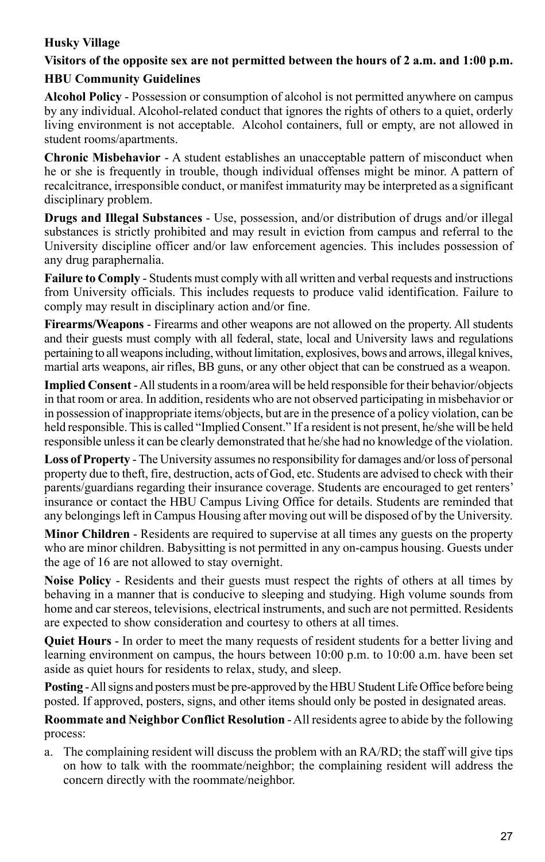## **Husky Village**

# **Visitors of the opposite sex are not permitted between the hours of 2 a.m. and 1:00 p.m.**

#### **HBU Community Guidelines**

**Alcohol Policy** - Possession or consumption of alcohol is not permitted anywhere on campus by any individual. Alcohol-related conduct that ignores the rights of others to a quiet, orderly living environment is not acceptable. Alcohol containers, full or empty, are not allowed in student rooms/apartments.

**Chronic Misbehavior** - A student establishes an unacceptable pattern of misconduct when he or she is frequently in trouble, though individual offenses might be minor. A pattern of recalcitrance, irresponsible conduct, or manifest immaturity may be interpreted as a significant disciplinary problem.

**Drugs and Illegal Substances** - Use, possession, and/or distribution of drugs and/or illegal substances is strictly prohibited and may result in eviction from campus and referral to the University discipline officer and/or law enforcement agencies. This includes possession of any drug paraphernalia.

**Failure to Comply** - Students must comply with all written and verbal requests and instructions from University officials. This includes requests to produce valid identification. Failure to comply may result in disciplinary action and/or fine.

**Firearms/Weapons** - Firearms and other weapons are not allowed on the property. All students and their guests must comply with all federal, state, local and University laws and regulations pertaining to all weapons including, without limitation, explosives, bows and arrows, illegal knives, martial arts weapons, air rifles, BB guns, or any other object that can be construed as a weapon.

**Implied Consent** - All students in a room/area will be held responsible for their behavior/objects in that room or area. In addition, residents who are not observed participating in misbehavior or in possession of inappropriate items/objects, but are in the presence of a policy violation, can be held responsible. This is called "Implied Consent." If a resident is not present, he/she will be held responsible unless it can be clearly demonstrated that he/she had no knowledge of the violation.

**Loss of Property** - The University assumes no responsibility for damages and/or loss of personal property due to theft, fire, destruction, acts of God, etc. Students are advised to check with their parents/guardians regarding their insurance coverage. Students are encouraged to get renters' insurance or contact the HBU Campus Living Office for details. Students are reminded that any belongings left in Campus Housing after moving out will be disposed of by the University.

**Minor Children** - Residents are required to supervise at all times any guests on the property who are minor children. Babysitting is not permitted in any on-campus housing. Guests under the age of 16 are not allowed to stay overnight.

**Noise Policy** - Residents and their guests must respect the rights of others at all times by behaving in a manner that is conducive to sleeping and studying. High volume sounds from home and car stereos, televisions, electrical instruments, and such are not permitted. Residents are expected to show consideration and courtesy to others at all times.

**Quiet Hours** - In order to meet the many requests of resident students for a better living and learning environment on campus, the hours between 10:00 p.m. to 10:00 a.m. have been set aside as quiet hours for residents to relax, study, and sleep.

**Posting** - All signs and posters must be pre-approved by the HBU Student Life Office before being posted. If approved, posters, signs, and other items should only be posted in designated areas.

**Roommate and Neighbor Conflict Resolution** - All residents agree to abide by the following process:

a. The complaining resident will discuss the problem with an RA/RD; the staff will give tips on how to talk with the roommate/neighbor; the complaining resident will address the concern directly with the roommate/neighbor.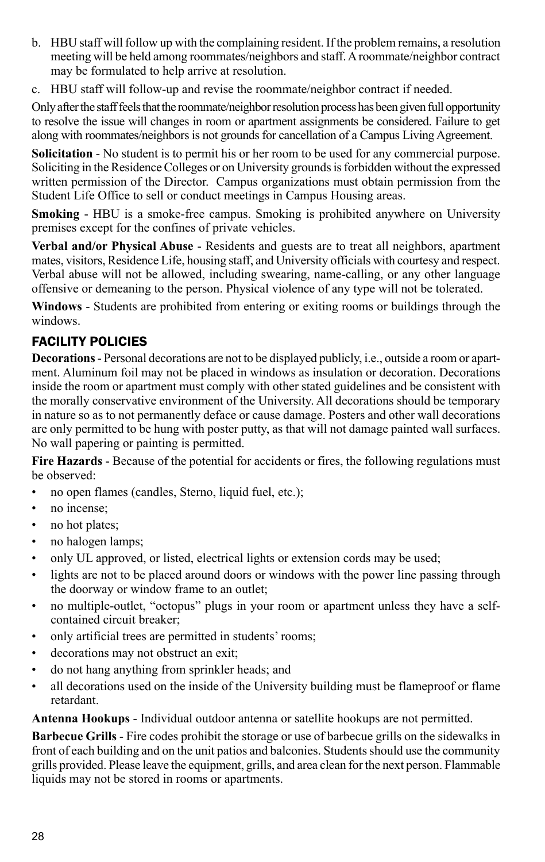- b. HBU staff will follow up with the complaining resident. If the problem remains, a resolution meeting will be held among roommates/neighbors and staff. A roommate/neighbor contract may be formulated to help arrive at resolution.
- c. HBU staff will follow-up and revise the roommate/neighbor contract if needed.

Only after the staff feels that the roommate/neighbor resolution process has been given full opportunity to resolve the issue will changes in room or apartment assignments be considered. Failure to get along with roommates/neighbors is not grounds for cancellation of a Campus Living Agreement.

**Solicitation** - No student is to permit his or her room to be used for any commercial purpose. Soliciting in the Residence Colleges or on University grounds is forbidden without the expressed written permission of the Director. Campus organizations must obtain permission from the Student Life Office to sell or conduct meetings in Campus Housing areas.

**Smoking** - HBU is a smoke-free campus. Smoking is prohibited anywhere on University premises except for the confines of private vehicles.

**Verbal and/or Physical Abuse** - Residents and guests are to treat all neighbors, apartment mates, visitors, Residence Life, housing staff, and University officials with courtesy and respect. Verbal abuse will not be allowed, including swearing, name-calling, or any other language offensive or demeaning to the person. Physical violence of any type will not be tolerated.

**Windows** - Students are prohibited from entering or exiting rooms or buildings through the windows.

## Facility Policies

**Decorations** - Personal decorations are not to be displayed publicly, i.e., outside a room or apartment. Aluminum foil may not be placed in windows as insulation or decoration. Decorations inside the room or apartment must comply with other stated guidelines and be consistent with the morally conservative environment of the University. All decorations should be temporary in nature so as to not permanently deface or cause damage. Posters and other wall decorations are only permitted to be hung with poster putty, as that will not damage painted wall surfaces. No wall papering or painting is permitted.

**Fire Hazards** - Because of the potential for accidents or fires, the following regulations must be observed:

- no open flames (candles, Sterno, liquid fuel, etc.);
- no incense;
- no hot plates;
- no halogen lamps;
- only UL approved, or listed, electrical lights or extension cords may be used;
- lights are not to be placed around doors or windows with the power line passing through the doorway or window frame to an outlet;
- no multiple-outlet, "octopus" plugs in your room or apartment unless they have a selfcontained circuit breaker;
- only artificial trees are permitted in students' rooms;
- decorations may not obstruct an exit;
- do not hang anything from sprinkler heads; and
- all decorations used on the inside of the University building must be flameproof or flame retardant.

**Antenna Hookups** - Individual outdoor antenna or satellite hookups are not permitted.

**Barbecue Grills** - Fire codes prohibit the storage or use of barbecue grills on the sidewalks in front of each building and on the unit patios and balconies. Students should use the community grills provided. Please leave the equipment, grills, and area clean for the next person. Flammable liquids may not be stored in rooms or apartments.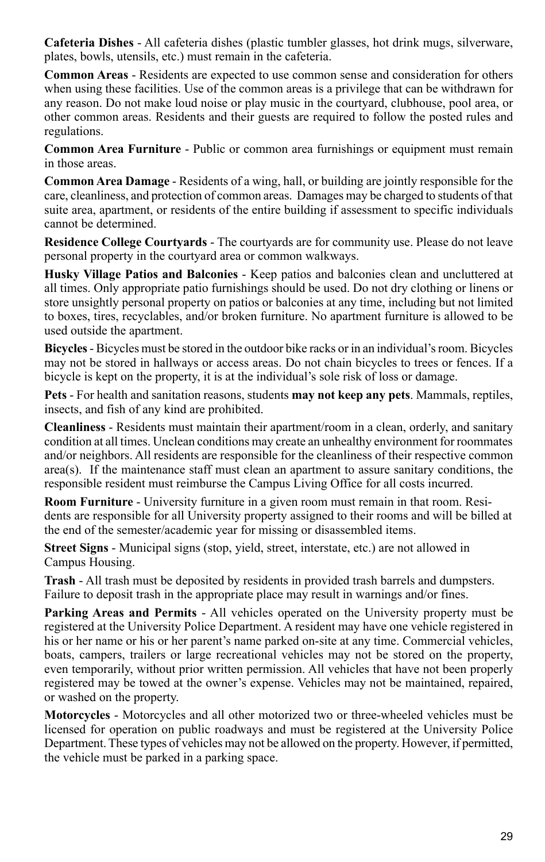**Cafeteria Dishes** - All cafeteria dishes (plastic tumbler glasses, hot drink mugs, silverware, plates, bowls, utensils, etc.) must remain in the cafeteria.

**Common Areas** - Residents are expected to use common sense and consideration for others when using these facilities. Use of the common areas is a privilege that can be withdrawn for any reason. Do not make loud noise or play music in the courtyard, clubhouse, pool area, or other common areas. Residents and their guests are required to follow the posted rules and regulations.

**Common Area Furniture** - Public or common area furnishings or equipment must remain in those areas.

**Common Area Damage** - Residents of a wing, hall, or building are jointly responsible for the care, cleanliness, and protection of common areas. Damages may be charged to students of that suite area, apartment, or residents of the entire building if assessment to specific individuals cannot be determined.

**Residence College Courtyards** - The courtyards are for community use. Please do not leave personal property in the courtyard area or common walkways.

**Husky Village Patios and Balconies** - Keep patios and balconies clean and uncluttered at all times. Only appropriate patio furnishings should be used. Do not dry clothing or linens or store unsightly personal property on patios or balconies at any time, including but not limited to boxes, tires, recyclables, and/or broken furniture. No apartment furniture is allowed to be used outside the apartment.

**Bicycles** - Bicycles must be stored in the outdoor bike racks or in an individual's room. Bicycles may not be stored in hallways or access areas. Do not chain bicycles to trees or fences. If a bicycle is kept on the property, it is at the individual's sole risk of loss or damage.

**Pets** - For health and sanitation reasons, students **may not keep any pets**. Mammals, reptiles, insects, and fish of any kind are prohibited.

**Cleanliness** - Residents must maintain their apartment/room in a clean, orderly, and sanitary condition at all times. Unclean conditions may create an unhealthy environment for roommates and/or neighbors. All residents are responsible for the cleanliness of their respective common area(s). If the maintenance staff must clean an apartment to assure sanitary conditions, the responsible resident must reimburse the Campus Living Office for all costs incurred.

**Room Furniture** - University furniture in a given room must remain in that room. Residents are responsible for all University property assigned to their rooms and will be billed at the end of the semester/academic year for missing or disassembled items.

**Street Signs** - Municipal signs (stop, yield, street, interstate, etc.) are not allowed in Campus Housing.

**Trash** - All trash must be deposited by residents in provided trash barrels and dumpsters. Failure to deposit trash in the appropriate place may result in warnings and/or fines.

**Parking Areas and Permits** - All vehicles operated on the University property must be registered at the University Police Department. A resident may have one vehicle registered in his or her name or his or her parent's name parked on-site at any time. Commercial vehicles, boats, campers, trailers or large recreational vehicles may not be stored on the property, even temporarily, without prior written permission. All vehicles that have not been properly registered may be towed at the owner's expense. Vehicles may not be maintained, repaired, or washed on the property.

**Motorcycles** - Motorcycles and all other motorized two or three-wheeled vehicles must be licensed for operation on public roadways and must be registered at the University Police Department. These types of vehicles may not be allowed on the property. However, if permitted, the vehicle must be parked in a parking space.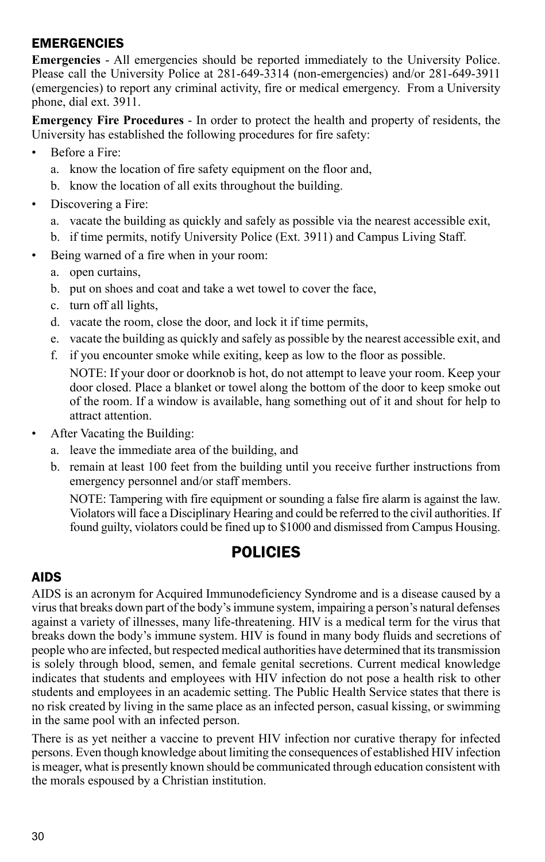## **EMERGENCIES**

**Emergencies** - All emergencies should be reported immediately to the University Police. Please call the University Police at 281-649-3314 (non-emergencies) and/or 281-649-3911 (emergencies) to report any criminal activity, fire or medical emergency. From a University phone, dial ext. 3911.

**Emergency Fire Procedures** - In order to protect the health and property of residents, the University has established the following procedures for fire safety:

- Before a Fire:
	- a. know the location of fire safety equipment on the floor and,
	- b. know the location of all exits throughout the building.
- Discovering a Fire:
	- a. vacate the building as quickly and safely as possible via the nearest accessible exit,
	- b. if time permits, notify University Police (Ext. 3911) and Campus Living Staff.
- Being warned of a fire when in your room:
	- a. open curtains,
	- b. put on shoes and coat and take a wet towel to cover the face,
	- c. turn off all lights,
	- d. vacate the room, close the door, and lock it if time permits,
	- e. vacate the building as quickly and safely as possible by the nearest accessible exit, and
	- f. if you encounter smoke while exiting, keep as low to the floor as possible.

NOTE: If your door or doorknob is hot, do not attempt to leave your room. Keep your door closed. Place a blanket or towel along the bottom of the door to keep smoke out of the room. If a window is available, hang something out of it and shout for help to attract attention.

- After Vacating the Building:
	- a. leave the immediate area of the building, and
	- b. remain at least 100 feet from the building until you receive further instructions from emergency personnel and/or staff members.

NOTE: Tampering with fire equipment or sounding a false fire alarm is against the law. Violators will face a Disciplinary Hearing and could be referred to the civil authorities. If found guilty, violators could be fined up to \$1000 and dismissed from Campus Housing.

# **POLICIES**

## AIDS

AIDS is an acronym for Acquired Immunodeficiency Syndrome and is a disease caused by a virus that breaks down part of the body's immune system, impairing a person's natural defenses against a variety of illnesses, many life-threatening. HIV is a medical term for the virus that breaks down the body's immune system. HIV is found in many body fluids and secretions of people who are infected, but respected medical authorities have determined that its transmission is solely through blood, semen, and female genital secretions. Current medical knowledge indicates that students and employees with HIV infection do not pose a health risk to other students and employees in an academic setting. The Public Health Service states that there is no risk created by living in the same place as an infected person, casual kissing, or swimming in the same pool with an infected person.

There is as yet neither a vaccine to prevent HIV infection nor curative therapy for infected persons. Even though knowledge about limiting the consequences of established HIV infection is meager, what is presently known should be communicated through education consistent with the morals espoused by a Christian institution.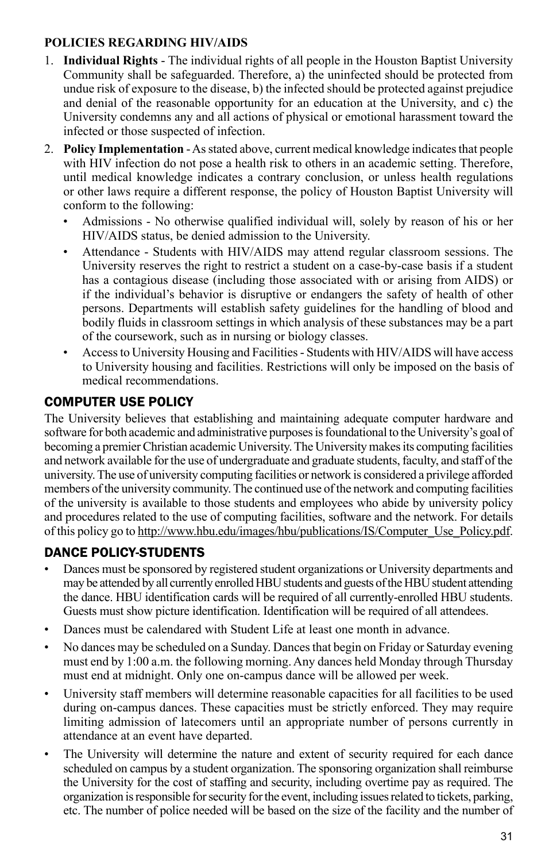#### **Policies Regarding HIV/AIDS**

- 1. **Individual Rights** The individual rights of all people in the Houston Baptist University Community shall be safeguarded. Therefore, a) the uninfected should be protected from undue risk of exposure to the disease, b) the infected should be protected against prejudice and denial of the reasonable opportunity for an education at the University, and c) the University condemns any and all actions of physical or emotional harassment toward the infected or those suspected of infection.
- 2. **Policy Implementation** As stated above, current medical knowledge indicates that people with HIV infection do not pose a health risk to others in an academic setting. Therefore, until medical knowledge indicates a contrary conclusion, or unless health regulations or other laws require a different response, the policy of Houston Baptist University will conform to the following:
	- Admissions No otherwise qualified individual will, solely by reason of his or her HIV/AIDS status, be denied admission to the University.
	- Attendance Students with HIV/AIDS may attend regular classroom sessions. The University reserves the right to restrict a student on a case-by-case basis if a student has a contagious disease (including those associated with or arising from AIDS) or if the individual's behavior is disruptive or endangers the safety of health of other persons. Departments will establish safety guidelines for the handling of blood and bodily fluids in classroom settings in which analysis of these substances may be a part of the coursework, such as in nursing or biology classes.
	- Access to University Housing and Facilities Students with HIV/AIDS will have access to University housing and facilities. Restrictions will only be imposed on the basis of medical recommendations.

## COMPUTER USE POLICY

The University believes that establishing and maintaining adequate computer hardware and software for both academic and administrative purposes is foundational to the University's goal of becoming a premier Christian academic University. The University makes its computing facilities and network available for the use of undergraduate and graduate students, faculty, and staff of the university. The use of university computing facilities or network is considered a privilege afforded members of the university community. The continued use of the network and computing facilities of the university is available to those students and employees who abide by university policy and procedures related to the use of computing facilities, software and the network. For details of this policy go to http://www.hbu.edu/images/hbu/publications/IS/Computer\_Use\_Policy.pdf.

# Dance Policy-Students

- Dances must be sponsored by registered student organizations or University departments and may be attended by all currently enrolled HBU students and guests of the HBU student attending the dance. HBU identification cards will be required of all currently-enrolled HBU students. Guests must show picture identification. Identification will be required of all attendees.
- Dances must be calendared with Student Life at least one month in advance.
- No dances may be scheduled on a Sunday. Dances that begin on Friday or Saturday evening must end by 1:00 a.m. the following morning. Any dances held Monday through Thursday must end at midnight. Only one on-campus dance will be allowed per week.
- University staff members will determine reasonable capacities for all facilities to be used during on-campus dances. These capacities must be strictly enforced. They may require limiting admission of latecomers until an appropriate number of persons currently in attendance at an event have departed.
- The University will determine the nature and extent of security required for each dance scheduled on campus by a student organization. The sponsoring organization shall reimburse the University for the cost of staffing and security, including overtime pay as required. The organization is responsible for security for the event, including issues related to tickets, parking, etc. The number of police needed will be based on the size of the facility and the number of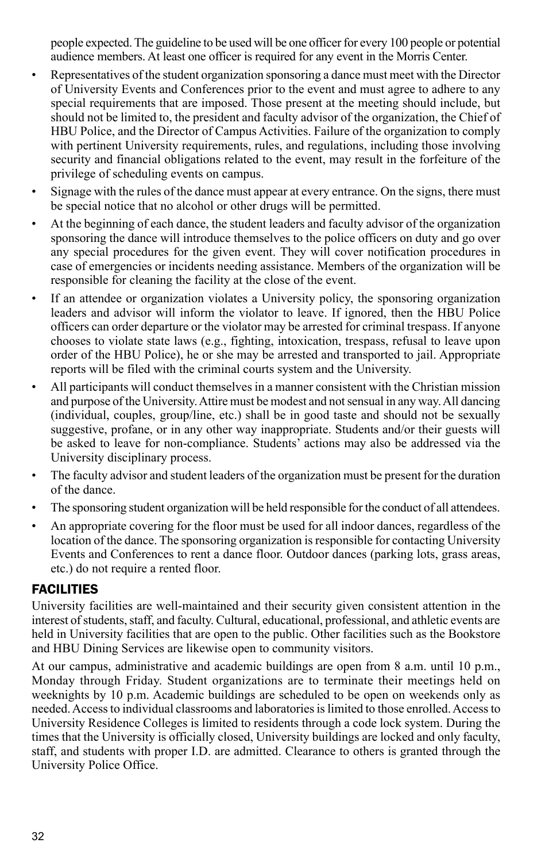people expected. The guideline to be used will be one officer for every 100 people or potential audience members. At least one officer is required for any event in the Morris Center.

- Representatives of the student organization sponsoring a dance must meet with the Director of University Events and Conferences prior to the event and must agree to adhere to any special requirements that are imposed. Those present at the meeting should include, but should not be limited to, the president and faculty advisor of the organization, the Chief of HBU Police, and the Director of Campus Activities. Failure of the organization to comply with pertinent University requirements, rules, and regulations, including those involving security and financial obligations related to the event, may result in the forfeiture of the privilege of scheduling events on campus.
- Signage with the rules of the dance must appear at every entrance. On the signs, there must be special notice that no alcohol or other drugs will be permitted.
- At the beginning of each dance, the student leaders and faculty advisor of the organization sponsoring the dance will introduce themselves to the police officers on duty and go over any special procedures for the given event. They will cover notification procedures in case of emergencies or incidents needing assistance. Members of the organization will be responsible for cleaning the facility at the close of the event.
- If an attendee or organization violates a University policy, the sponsoring organization leaders and advisor will inform the violator to leave. If ignored, then the HBU Police officers can order departure or the violator may be arrested for criminal trespass. If anyone chooses to violate state laws (e.g., fighting, intoxication, trespass, refusal to leave upon order of the HBU Police), he or she may be arrested and transported to jail. Appropriate reports will be filed with the criminal courts system and the University.
- All participants will conduct themselves in a manner consistent with the Christian mission and purpose of the University. Attire must be modest and not sensual in any way. All dancing (individual, couples, group/line, etc.) shall be in good taste and should not be sexually suggestive, profane, or in any other way inappropriate. Students and/or their guests will be asked to leave for non-compliance. Students' actions may also be addressed via the University disciplinary process.
- The faculty advisor and student leaders of the organization must be present for the duration of the dance.
- The sponsoring student organization will be held responsible for the conduct of all attendees.
- An appropriate covering for the floor must be used for all indoor dances, regardless of the location of the dance. The sponsoring organization is responsible for contacting University Events and Conferences to rent a dance floor. Outdoor dances (parking lots, grass areas, etc.) do not require a rented floor.

## **FACILITIES**

University facilities are well-maintained and their security given consistent attention in the interest of students, staff, and faculty. Cultural, educational, professional, and athletic events are held in University facilities that are open to the public. Other facilities such as the Bookstore and HBU Dining Services are likewise open to community visitors.

At our campus, administrative and academic buildings are open from  $8$  a.m. until 10 p.m., Monday through Friday. Student organizations are to terminate their meetings held on weeknights by 10 p.m. Academic buildings are scheduled to be open on weekends only as needed. Access to individual classrooms and laboratories is limited to those enrolled. Access to University Residence Colleges is limited to residents through a code lock system. During the times that the University is officially closed, University buildings are locked and only faculty, staff, and students with proper I.D. are admitted. Clearance to others is granted through the University Police Office.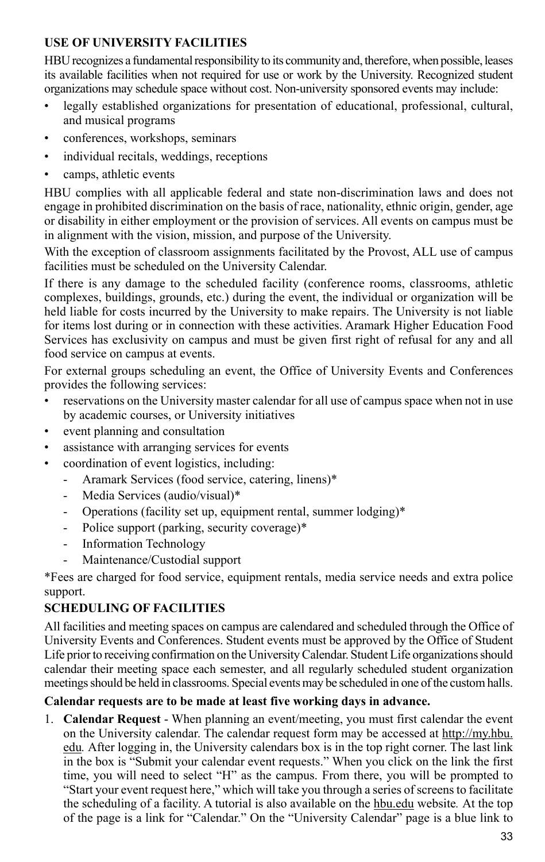#### **Use of University Facilities**

HBU recognizes a fundamental responsibility to its community and, therefore, when possible, leases its available facilities when not required for use or work by the University. Recognized student organizations may schedule space without cost. Non-university sponsored events may include:

- legally established organizations for presentation of educational, professional, cultural, and musical programs
- conferences, workshops, seminars
- individual recitals, weddings, receptions
- camps, athletic events

HBU complies with all applicable federal and state non-discrimination laws and does not engage in prohibited discrimination on the basis of race, nationality, ethnic origin, gender, age or disability in either employment or the provision of services. All events on campus must be in alignment with the vision, mission, and purpose of the University.

With the exception of classroom assignments facilitated by the Provost, ALL use of campus facilities must be scheduled on the University Calendar.

If there is any damage to the scheduled facility (conference rooms, classrooms, athletic complexes, buildings, grounds, etc.) during the event, the individual or organization will be held liable for costs incurred by the University to make repairs. The University is not liable for items lost during or in connection with these activities. Aramark Higher Education Food Services has exclusivity on campus and must be given first right of refusal for any and all food service on campus at events.

For external groups scheduling an event, the Office of University Events and Conferences provides the following services:

- reservations on the University master calendar for all use of campus space when not in use by academic courses, or University initiatives
- event planning and consultation
- assistance with arranging services for events
- coordination of event logistics, including:
	- Aramark Services (food service, catering, linens)\*
	- Media Services (audio/visual)\*
	- Operations (facility set up, equipment rental, summer lodging)\*
	- Police support (parking, security coverage)\*
	- Information Technology
	- Maintenance/Custodial support

\*Fees are charged for food service, equipment rentals, media service needs and extra police support.

## **Scheduling of Facilities**

All facilities and meeting spaces on campus are calendared and scheduled through the Office of University Events and Conferences. Student events must be approved by the Office of Student Life prior to receiving confirmation on the University Calendar. Student Life organizations should calendar their meeting space each semester, and all regularly scheduled student organization meetings should be held in classrooms. Special events may be scheduled in one of the custom halls.

## **Calendar requests are to be made at least five working days in advance.**

1. **Calendar Request** - When planning an event/meeting, you must first calendar the event on the University calendar. The calendar request form may be accessed at http://my.hbu. edu*.* After logging in, the University calendars box is in the top right corner. The last link in the box is "Submit your calendar event requests." When you click on the link the first time, you will need to select "H" as the campus. From there, you will be prompted to "Start your event request here," which will take you through a series of screens to facilitate the scheduling of a facility. A tutorial is also available on the hbu.edu website*.* At the top of the page is a link for "Calendar." On the "University Calendar" page is a blue link to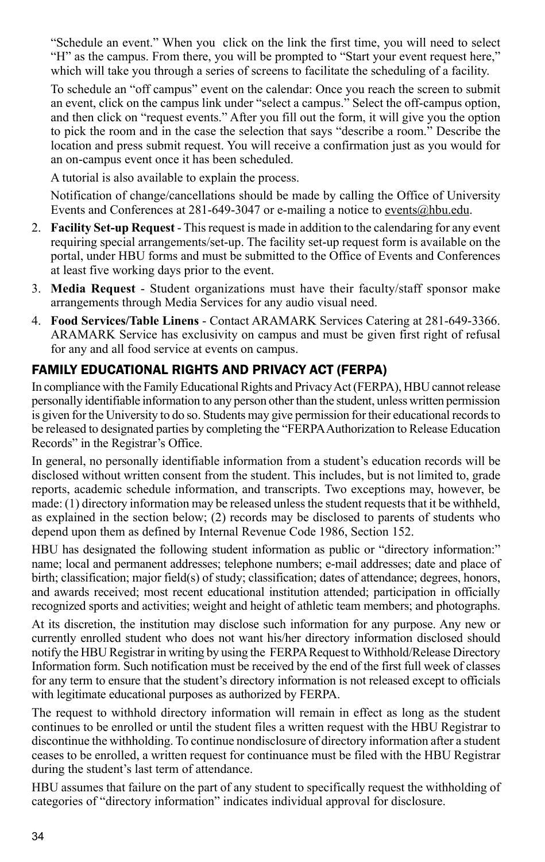"Schedule an event." When you click on the link the first time, you will need to select "H" as the campus. From there, you will be prompted to "Start your event request here," which will take you through a series of screens to facilitate the scheduling of a facility.

To schedule an "off campus" event on the calendar: Once you reach the screen to submit an event, click on the campus link under "select a campus." Select the off-campus option, and then click on "request events." After you fill out the form, it will give you the option to pick the room and in the case the selection that says "describe a room." Describe the location and press submit request. You will receive a confirmation just as you would for an on-campus event once it has been scheduled.

A tutorial is also available to explain the process.

Notification of change/cancellations should be made by calling the Office of University Events and Conferences at 281-649-3047 or e-mailing a notice to events@hbu.edu.

- 2. **Facility Set-up Request**  This request is made in addition to the calendaring for any event requiring special arrangements/set-up. The facility set-up request form is available on the portal, under HBU forms and must be submitted to the Office of Events and Conferences at least five working days prior to the event.
- 3. **Media Request** Student organizations must have their faculty/staff sponsor make arrangements through Media Services for any audio visual need.
- 4. **Food Services/Table Linens** Contact ARAMARK Services Catering at 281-649-3366. ARAMARK Service has exclusivity on campus and must be given first right of refusal for any and all food service at events on campus.

## Family Educational Rights and Privacy Act (FERPA)

In compliance with the Family Educational Rights and Privacy Act (FERPA), HBU cannot release personally identifiable information to any person other than the student, unless written permission is given for the University to do so. Students may give permission for their educational records to be released to designated parties by completing the "FERPA Authorization to Release Education Records" in the Registrar's Office.

In general, no personally identifiable information from a student's education records will be disclosed without written consent from the student. This includes, but is not limited to, grade reports, academic schedule information, and transcripts. Two exceptions may, however, be made: (1) directory information may be released unless the student requests that it be withheld, as explained in the section below; (2) records may be disclosed to parents of students who depend upon them as defined by Internal Revenue Code 1986, Section 152.

HBU has designated the following student information as public or "directory information:" name; local and permanent addresses; telephone numbers; e-mail addresses; date and place of birth; classification; major field(s) of study; classification; dates of attendance; degrees, honors, and awards received; most recent educational institution attended; participation in officially recognized sports and activities; weight and height of athletic team members; and photographs.

At its discretion, the institution may disclose such information for any purpose. Any new or currently enrolled student who does not want his/her directory information disclosed should notify the HBU Registrar in writing by using the FERPA Request to Withhold/Release Directory Information form. Such notification must be received by the end of the first full week of classes for any term to ensure that the student's directory information is not released except to officials with legitimate educational purposes as authorized by FERPA.

The request to withhold directory information will remain in effect as long as the student continues to be enrolled or until the student files a written request with the HBU Registrar to discontinue the withholding. To continue nondisclosure of directory information after a student ceases to be enrolled, a written request for continuance must be filed with the HBU Registrar during the student's last term of attendance.

HBU assumes that failure on the part of any student to specifically request the withholding of categories of "directory information" indicates individual approval for disclosure.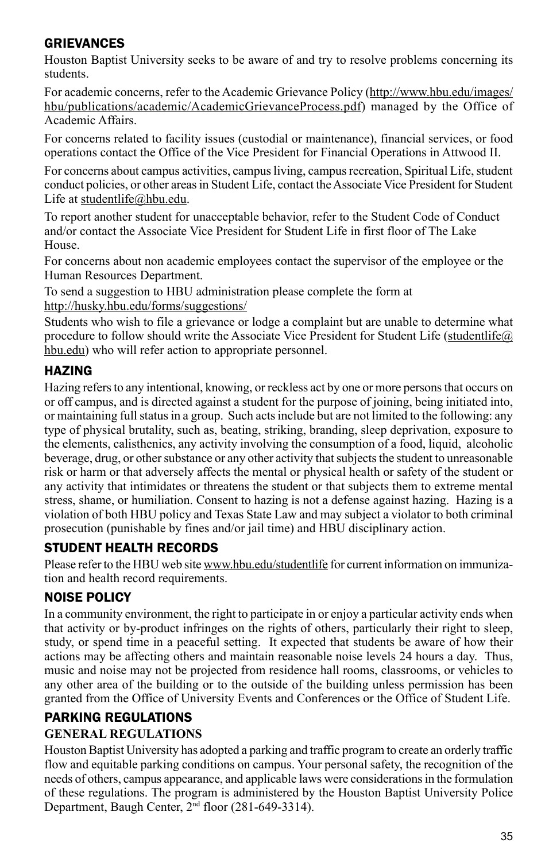## **GRIEVANCES**

Houston Baptist University seeks to be aware of and try to resolve problems concerning its students.

For academic concerns, refer to the Academic Grievance Policy (http://www.hbu.edu/images/ hbu/publications/academic/AcademicGrievanceProcess.pdf) managed by the Office of Academic Affairs.

For concerns related to facility issues (custodial or maintenance), financial services, or food operations contact the Office of the Vice President for Financial Operations in Attwood II.

For concerns about campus activities, campus living, campus recreation, Spiritual Life, student conduct policies, or other areas in Student Life, contact the Associate Vice President for Student Life at studentlife@hbu.edu.

To report another student for unacceptable behavior, refer to the Student Code of Conduct and/or contact the Associate Vice President for Student Life in first floor of The Lake House.

For concerns about non academic employees contact the supervisor of the employee or the Human Resources Department.

To send a suggestion to HBU administration please complete the form at http://husky.hbu.edu/forms/suggestions/

Students who wish to file a grievance or lodge a complaint but are unable to determine what procedure to follow should write the Associate Vice President for Student Life (studentlife@) hbu.edu) who will refer action to appropriate personnel.

# **HAZING**

Hazing refers to any intentional, knowing, or reckless act by one or more persons that occurs on or off campus, and is directed against a student for the purpose of joining, being initiated into, or maintaining full status in a group. Such acts include but are not limited to the following: any type of physical brutality, such as, beating, striking, branding, sleep deprivation, exposure to the elements, calisthenics, any activity involving the consumption of a food, liquid, alcoholic beverage, drug, or other substance or any other activity that subjects the student to unreasonable risk or harm or that adversely affects the mental or physical health or safety of the student or any activity that intimidates or threatens the student or that subjects them to extreme mental stress, shame, or humiliation. Consent to hazing is not a defense against hazing. Hazing is a violation of both HBU policy and Texas State Law and may subject a violator to both criminal prosecution (punishable by fines and/or jail time) and HBU disciplinary action.

# Student Health Records

Please refer to the HBU web site www.hbu.edu/studentlife for current information on immunization and health record requirements.

# NOISE POLICY

In a community environment, the right to participate in or enjoy a particular activity ends when that activity or by-product infringes on the rights of others, particularly their right to sleep, study, or spend time in a peaceful setting. It expected that students be aware of how their actions may be affecting others and maintain reasonable noise levels 24 hours a day. Thus, music and noise may not be projected from residence hall rooms, classrooms, or vehicles to any other area of the building or to the outside of the building unless permission has been granted from the Office of University Events and Conferences or the Office of Student Life.

# Parking Regulations **General Regulations**

Houston Baptist University has adopted a parking and traffic program to create an orderly traffic flow and equitable parking conditions on campus. Your personal safety, the recognition of the needs of others, campus appearance, and applicable laws were considerations in the formulation of these regulations. The program is administered by the Houston Baptist University Police Department, Baugh Center, 2nd floor (281-649-3314).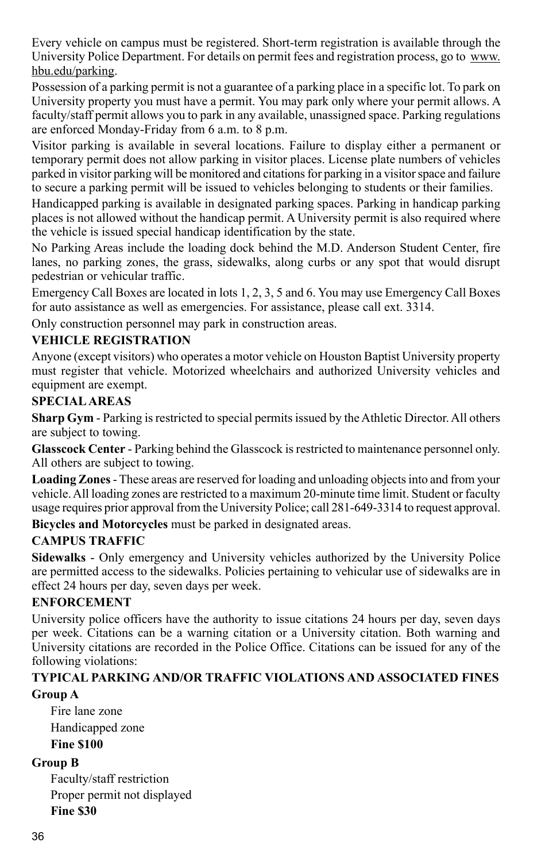Every vehicle on campus must be registered. Short-term registration is available through the University Police Department. For details on permit fees and registration process, go to www. hbu.edu/parking.

Possession of a parking permit is not a guarantee of a parking place in a specific lot. To park on University property you must have a permit. You may park only where your permit allows. A faculty/staff permit allows you to park in any available, unassigned space. Parking regulations are enforced Monday-Friday from 6 a.m. to 8 p.m.

Visitor parking is available in several locations. Failure to display either a permanent or temporary permit does not allow parking in visitor places. License plate numbers of vehicles parked in visitor parking will be monitored and citations for parking in a visitor space and failure to secure a parking permit will be issued to vehicles belonging to students or their families.

Handicapped parking is available in designated parking spaces. Parking in handicap parking places is not allowed without the handicap permit. A University permit is also required where the vehicle is issued special handicap identification by the state.

No Parking Areas include the loading dock behind the M.D. Anderson Student Center, fire lanes, no parking zones, the grass, sidewalks, along curbs or any spot that would disrupt pedestrian or vehicular traffic.

Emergency Call Boxes are located in lots 1, 2, 3, 5 and 6. You may use Emergency Call Boxes for auto assistance as well as emergencies. For assistance, please call ext. 3314.

Only construction personnel may park in construction areas.

## **Vehicle Registration**

Anyone (except visitors) who operates a motor vehicle on Houston Baptist University property must register that vehicle. Motorized wheelchairs and authorized University vehicles and equipment are exempt.

#### **Special Areas**

**Sharp Gym** - Parking is restricted to special permits issued by the Athletic Director. All others are subject to towing.

**Glasscock Center** - Parking behind the Glasscock is restricted to maintenance personnel only. All others are subject to towing.

**Loading Zones** - These areas are reserved for loading and unloading objects into and from your vehicle. All loading zones are restricted to a maximum 20-minute time limit. Student or faculty usage requires prior approval from the University Police; call 281-649-3314 to request approval.

**Bicycles and Motorcycles** must be parked in designated areas.

#### **Campus Traffic**

**Sidewalks** - Only emergency and University vehicles authorized by the University Police are permitted access to the sidewalks. Policies pertaining to vehicular use of sidewalks are in effect 24 hours per day, seven days per week.

#### **Enforcement**

University police officers have the authority to issue citations 24 hours per day, seven days per week. Citations can be a warning citation or a University citation. Both warning and University citations are recorded in the Police Office. Citations can be issued for any of the following violations:

#### **Typical Parking and/or Traffic Violations and Associated Fines Group A**

Fire lane zone Handicapped zone **Fine \$100**

#### **Group B**

Faculty/staff restriction Proper permit not displayed **Fine \$30**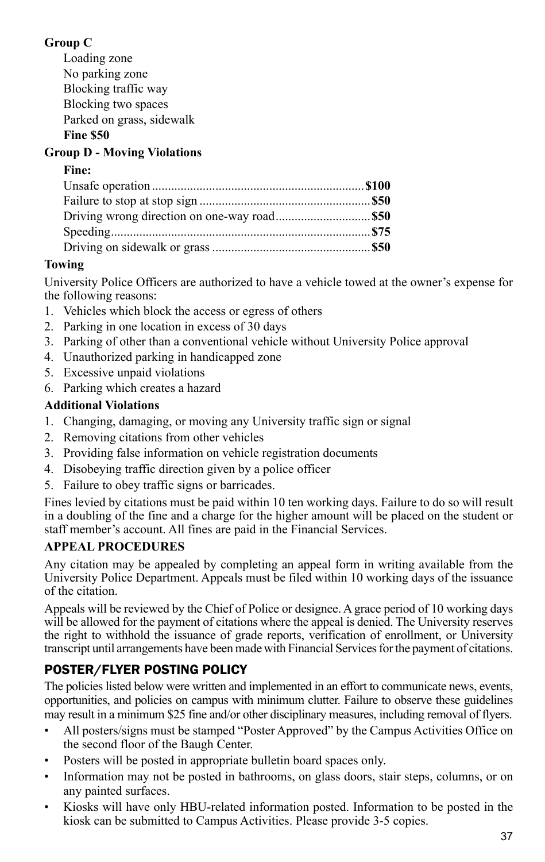## **Group C**

Loading zone No parking zone Blocking traffic way Blocking two spaces Parked on grass, sidewalk

#### **Fine \$50**

## **Group D - Moving Violations**

#### **Fine:**

## **Towing**

University Police Officers are authorized to have a vehicle towed at the owner's expense for the following reasons:

- 1. Vehicles which block the access or egress of others
- 2. Parking in one location in excess of 30 days
- 3. Parking of other than a conventional vehicle without University Police approval
- 4. Unauthorized parking in handicapped zone
- 5. Excessive unpaid violations
- 6. Parking which creates a hazard

## **Additional Violations**

- 1. Changing, damaging, or moving any University traffic sign or signal
- 2. Removing citations from other vehicles
- 3. Providing false information on vehicle registration documents
- 4. Disobeying traffic direction given by a police officer
- 5. Failure to obey traffic signs or barricades.

Fines levied by citations must be paid within 10 ten working days. Failure to do so will result in a doubling of the fine and a charge for the higher amount will be placed on the student or staff member's account. All fines are paid in the Financial Services.

## **Appeal Procedures**

Any citation may be appealed by completing an appeal form in writing available from the University Police Department. Appeals must be filed within 10 working days of the issuance of the citation.

Appeals will be reviewed by the Chief of Police or designee. A grace period of 10 working days will be allowed for the payment of citations where the appeal is denied. The University reserves the right to withhold the issuance of grade reports, verification of enrollment, or University transcript until arrangements have been made with Financial Services for the payment of citations.

# Poster/FLyer Posting Policy

The policies listed below were written and implemented in an effort to communicate news, events, opportunities, and policies on campus with minimum clutter. Failure to observe these guidelines may result in a minimum \$25 fine and/or other disciplinary measures, including removal of flyers.

- All posters/signs must be stamped "Poster Approved" by the Campus Activities Office on the second floor of the Baugh Center.
- Posters will be posted in appropriate bulletin board spaces only.
- Information may not be posted in bathrooms, on glass doors, stair steps, columns, or on any painted surfaces.
- Kiosks will have only HBU-related information posted. Information to be posted in the kiosk can be submitted to Campus Activities. Please provide 3-5 copies.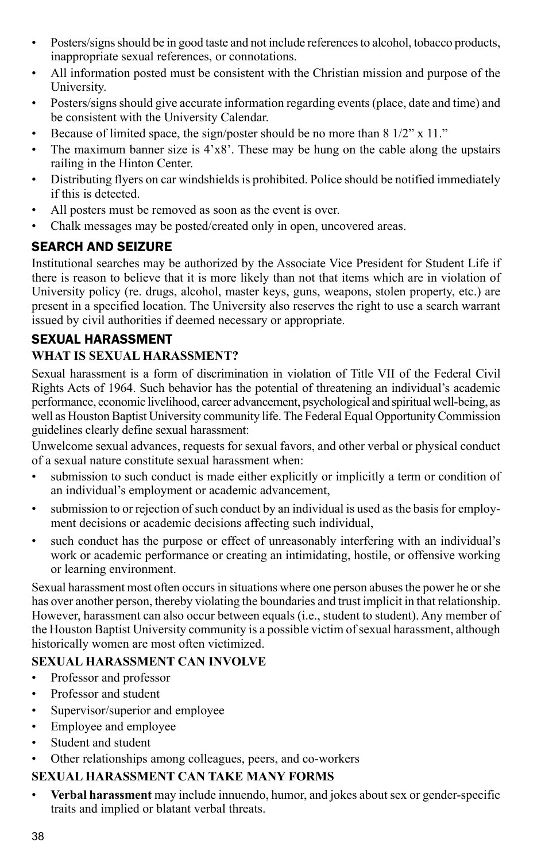- Posters/signs should be in good taste and not include references to alcohol, tobacco products, inappropriate sexual references, or connotations.
- All information posted must be consistent with the Christian mission and purpose of the University.
- Posters/signs should give accurate information regarding events (place, date and time) and be consistent with the University Calendar.
- Because of limited space, the sign/poster should be no more than 8 1/2" x 11."
- The maximum banner size is  $4'x8'$ . These may be hung on the cable along the upstairs railing in the Hinton Center.
- Distributing flyers on car windshields is prohibited. Police should be notified immediately if this is detected.
- All posters must be removed as soon as the event is over.
- Chalk messages may be posted/created only in open, uncovered areas.

## Search and Seizure

Institutional searches may be authorized by the Associate Vice President for Student Life if there is reason to believe that it is more likely than not that items which are in violation of University policy (re. drugs, alcohol, master keys, guns, weapons, stolen property, etc.) are present in a specified location. The University also reserves the right to use a search warrant issued by civil authorities if deemed necessary or appropriate.

#### Sexual Harassment **What is Sexual Harassment?**

Sexual harassment is a form of discrimination in violation of Title VII of the Federal Civil Rights Acts of 1964. Such behavior has the potential of threatening an individual's academic performance, economic livelihood, career advancement, psychological and spiritual well-being, as well as Houston Baptist University community life. The Federal Equal Opportunity Commission guidelines clearly define sexual harassment:

Unwelcome sexual advances, requests for sexual favors, and other verbal or physical conduct of a sexual nature constitute sexual harassment when:

- submission to such conduct is made either explicitly or implicitly a term or condition of an individual's employment or academic advancement,
- submission to or rejection of such conduct by an individual is used as the basis for employment decisions or academic decisions affecting such individual,
- such conduct has the purpose or effect of unreasonably interfering with an individual's work or academic performance or creating an intimidating, hostile, or offensive working or learning environment.

Sexual harassment most often occurs in situations where one person abuses the power he or she has over another person, thereby violating the boundaries and trust implicit in that relationship. However, harassment can also occur between equals (i.e., student to student). Any member of the Houston Baptist University community is a possible victim of sexual harassment, although historically women are most often victimized.

#### **Sexual Harassment Can Involve**

- Professor and professor
- Professor and student
- Supervisor/superior and employee
- Employee and employee
- Student and student
- Other relationships among colleagues, peers, and co-workers

## **Sexual Harassment Can Take Many Forms**

• **Verbal harassment** may include innuendo, humor, and jokes about sex or gender-specific traits and implied or blatant verbal threats.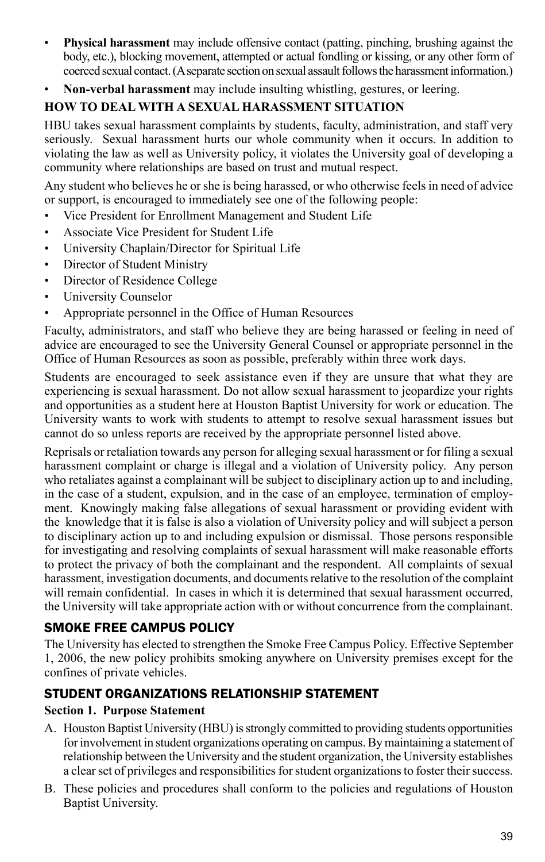- **Physical harassment** may include offensive contact (patting, pinching, brushing against the body, etc.), blocking movement, attempted or actual fondling or kissing, or any other form of coerced sexual contact. (A separate section on sexual assault follows the harassment information.)
- **Non-verbal harassment** may include insulting whistling, gestures, or leering.

## **How To Deal With A Sexual Harassment Situation**

HBU takes sexual harassment complaints by students, faculty, administration, and staff very seriously. Sexual harassment hurts our whole community when it occurs. In addition to violating the law as well as University policy, it violates the University goal of developing a community where relationships are based on trust and mutual respect.

Any student who believes he or she is being harassed, or who otherwise feels in need of advice or support, is encouraged to immediately see one of the following people:

- Vice President for Enrollment Management and Student Life
- Associate Vice President for Student Life
- University Chaplain/Director for Spiritual Life
- Director of Student Ministry
- Director of Residence College
- University Counselor
- Appropriate personnel in the Office of Human Resources

Faculty, administrators, and staff who believe they are being harassed or feeling in need of advice are encouraged to see the University General Counsel or appropriate personnel in the Office of Human Resources as soon as possible, preferably within three work days.

Students are encouraged to seek assistance even if they are unsure that what they are experiencing is sexual harassment. Do not allow sexual harassment to jeopardize your rights and opportunities as a student here at Houston Baptist University for work or education. The University wants to work with students to attempt to resolve sexual harassment issues but cannot do so unless reports are received by the appropriate personnel listed above.

Reprisals or retaliation towards any person for alleging sexual harassment or for filing a sexual harassment complaint or charge is illegal and a violation of University policy. Any person who retaliates against a complainant will be subject to disciplinary action up to and including, in the case of a student, expulsion, and in the case of an employee, termination of employment. Knowingly making false allegations of sexual harassment or providing evident with the knowledge that it is false is also a violation of University policy and will subject a person to disciplinary action up to and including expulsion or dismissal. Those persons responsible for investigating and resolving complaints of sexual harassment will make reasonable efforts to protect the privacy of both the complainant and the respondent. All complaints of sexual harassment, investigation documents, and documents relative to the resolution of the complaint will remain confidential. In cases in which it is determined that sexual harassment occurred, the University will take appropriate action with or without concurrence from the complainant.

## Smoke Free Campus Policy

The University has elected to strengthen the Smoke Free Campus Policy. Effective September 1, 2006, the new policy prohibits smoking anywhere on University premises except for the confines of private vehicles.

## STUDENT ORGANIZATIONS RELATIONSHIP STATEMENT

## **Section 1. Purpose Statement**

- A. Houston Baptist University (HBU) is strongly committed to providing students opportunities for involvement in student organizations operating on campus. By maintaining a statement of relationship between the University and the student organization, the University establishes a clear set of privileges and responsibilities for student organizations to foster their success.
- B. These policies and procedures shall conform to the policies and regulations of Houston Baptist University.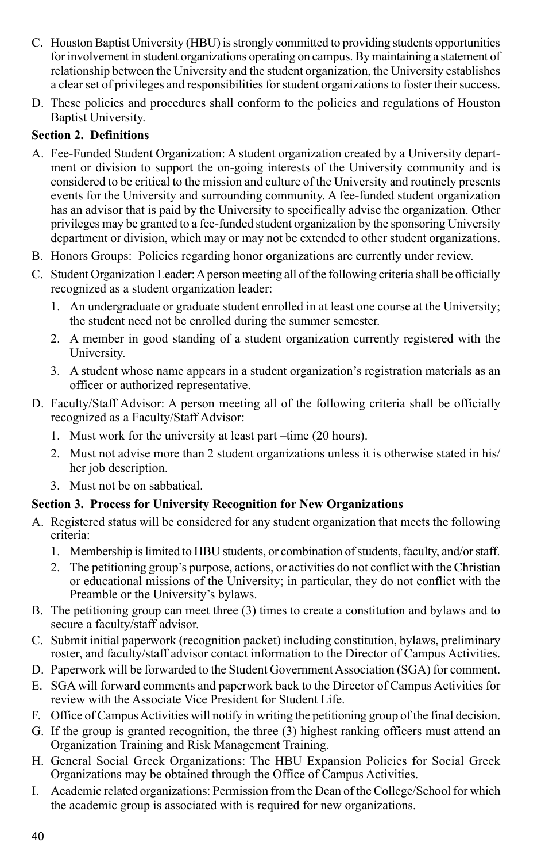- C. Houston Baptist University (HBU) is strongly committed to providing students opportunities for involvement in student organizations operating on campus. By maintaining a statement of relationship between the University and the student organization, the University establishes a clear set of privileges and responsibilities for student organizations to foster their success.
- D. These policies and procedures shall conform to the policies and regulations of Houston Baptist University.

#### **Section 2. Definitions**

- A. Fee-Funded Student Organization: A student organization created by a University department or division to support the on-going interests of the University community and is considered to be critical to the mission and culture of the University and routinely presents events for the University and surrounding community. A fee-funded student organization has an advisor that is paid by the University to specifically advise the organization. Other privileges may be granted to a fee-funded student organization by the sponsoring University department or division, which may or may not be extended to other student organizations.
- B. Honors Groups: Policies regarding honor organizations are currently under review.
- C. Student Organization Leader: A person meeting all of the following criteria shall be officially recognized as a student organization leader:
	- 1. An undergraduate or graduate student enrolled in at least one course at the University; the student need not be enrolled during the summer semester.
	- 2. A member in good standing of a student organization currently registered with the University.
	- 3. A student whose name appears in a student organization's registration materials as an officer or authorized representative.
- D. Faculty/Staff Advisor: A person meeting all of the following criteria shall be officially recognized as a Faculty/Staff Advisor:
	- 1. Must work for the university at least part –time (20 hours).
	- 2. Must not advise more than 2 student organizations unless it is otherwise stated in his/ her job description.
	- 3. Must not be on sabbatical.

## **Section 3. Process for University Recognition for New Organizations**

- A. Registered status will be considered for any student organization that meets the following criteria:
	- 1. Membership is limited to HBU students, or combination of students, faculty, and/or staff.
	- 2. The petitioning group's purpose, actions, or activities do not conflict with the Christian or educational missions of the University; in particular, they do not conflict with the Preamble or the University's bylaws.
- B. The petitioning group can meet three (3) times to create a constitution and bylaws and to secure a faculty/staff advisor.
- C. Submit initial paperwork (recognition packet) including constitution, bylaws, preliminary roster, and faculty/staff advisor contact information to the Director of Campus Activities.
- D. Paperwork will be forwarded to the Student Government Association (SGA) for comment.
- E. SGA will forward comments and paperwork back to the Director of Campus Activities for review with the Associate Vice President for Student Life.
- F. Office of Campus Activities will notify in writing the petitioning group of the final decision.
- G. If the group is granted recognition, the three (3) highest ranking officers must attend an Organization Training and Risk Management Training.
- H. General Social Greek Organizations: The HBU Expansion Policies for Social Greek Organizations may be obtained through the Office of Campus Activities.
- I. Academic related organizations: Permission from the Dean of the College/School for which the academic group is associated with is required for new organizations.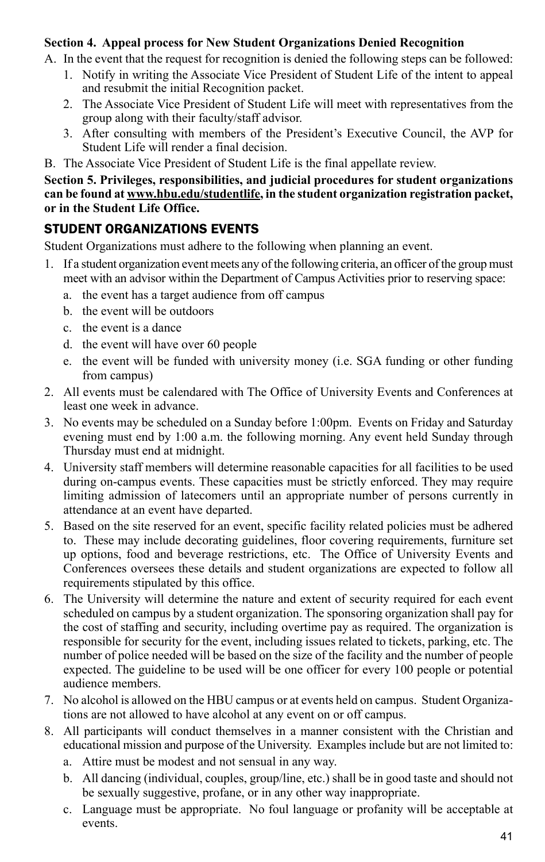#### **Section 4. Appeal process for New Student Organizations Denied Recognition**

- A. In the event that the request for recognition is denied the following steps can be followed:
	- 1. Notify in writing the Associate Vice President of Student Life of the intent to appeal and resubmit the initial Recognition packet.
	- 2. The Associate Vice President of Student Life will meet with representatives from the group along with their faculty/staff advisor.
	- 3. After consulting with members of the President's Executive Council, the AVP for Student Life will render a final decision.
- B. The Associate Vice President of Student Life is the final appellate review.

**Section 5. Privileges, responsibilities, and judicial procedures for student organizations can be found at www.hbu.edu/studentlife, in the student organization registration packet, or in the Student Life Office.**

## STUDENT ORGANIZATIONS EVENTS

Student Organizations must adhere to the following when planning an event.

- 1. If a student organization event meets any of the following criteria, an officer of the group must meet with an advisor within the Department of Campus Activities prior to reserving space:
	- a. the event has a target audience from off campus
	- b. the event will be outdoors
	- c. the event is a dance
	- d. the event will have over 60 people
	- e. the event will be funded with university money (i.e. SGA funding or other funding from campus)
- 2. All events must be calendared with The Office of University Events and Conferences at least one week in advance.
- 3. No events may be scheduled on a Sunday before 1:00pm. Events on Friday and Saturday evening must end by 1:00 a.m. the following morning. Any event held Sunday through Thursday must end at midnight.
- 4. University staff members will determine reasonable capacities for all facilities to be used during on-campus events. These capacities must be strictly enforced. They may require limiting admission of latecomers until an appropriate number of persons currently in attendance at an event have departed.
- 5. Based on the site reserved for an event, specific facility related policies must be adhered to. These may include decorating guidelines, floor covering requirements, furniture set up options, food and beverage restrictions, etc. The Office of University Events and Conferences oversees these details and student organizations are expected to follow all requirements stipulated by this office.
- 6. The University will determine the nature and extent of security required for each event scheduled on campus by a student organization. The sponsoring organization shall pay for the cost of staffing and security, including overtime pay as required. The organization is responsible for security for the event, including issues related to tickets, parking, etc. The number of police needed will be based on the size of the facility and the number of people expected. The guideline to be used will be one officer for every 100 people or potential audience members.
- 7. No alcohol is allowed on the HBU campus or at events held on campus. Student Organizations are not allowed to have alcohol at any event on or off campus.
- 8. All participants will conduct themselves in a manner consistent with the Christian and educational mission and purpose of the University. Examples include but are not limited to:
	- a. Attire must be modest and not sensual in any way.
	- b. All dancing (individual, couples, group/line, etc.) shall be in good taste and should not be sexually suggestive, profane, or in any other way inappropriate.
	- c. Language must be appropriate. No foul language or profanity will be acceptable at events.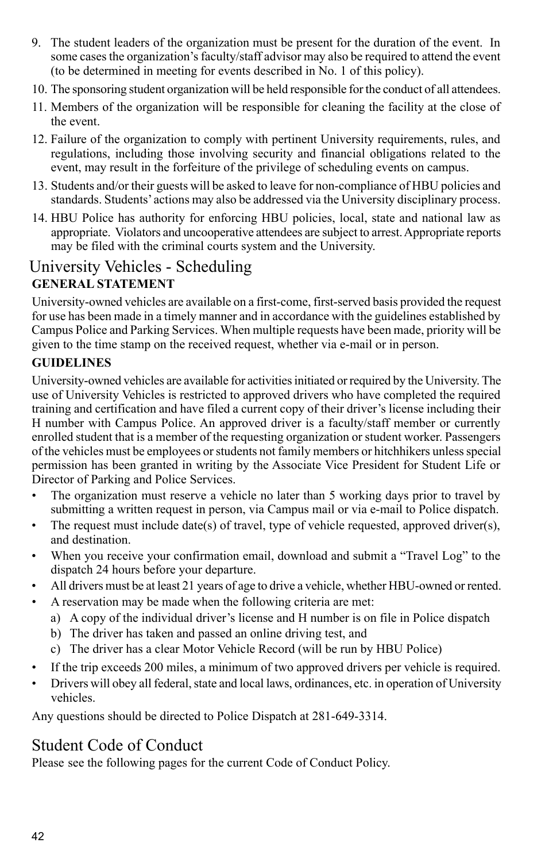- 9. The student leaders of the organization must be present for the duration of the event. In some cases the organization's faculty/staff advisor may also be required to attend the event (to be determined in meeting for events described in No. 1 of this policy).
- 10. The sponsoring student organization will be held responsible for the conduct of all attendees.
- 11. Members of the organization will be responsible for cleaning the facility at the close of the event.
- 12. Failure of the organization to comply with pertinent University requirements, rules, and regulations, including those involving security and financial obligations related to the event, may result in the forfeiture of the privilege of scheduling events on campus.
- 13. Students and/or their guests will be asked to leave for non-compliance of HBU policies and standards. Students' actions may also be addressed via the University disciplinary process.
- 14. HBU Police has authority for enforcing HBU policies, local, state and national law as appropriate. Violators and uncooperative attendees are subject to arrest. Appropriate reports may be filed with the criminal courts system and the University.

## **GENERAL STATEMENT** University Vehicles - Scheduling

University-owned vehicles are available on a first-come, first-served basis provided the request for use has been made in a timely manner and in accordance with the guidelines established by Campus Police and Parking Services. When multiple requests have been made, priority will be given to the time stamp on the received request, whether via e-mail or in person.

## **GUIDELINES**

University-owned vehicles are available for activities initiated or required by the University. The use of University Vehicles is restricted to approved drivers who have completed the required training and certification and have filed a current copy of their driver's license including their H number with Campus Police. An approved driver is a faculty/staff member or currently enrolled student that is a member of the requesting organization or student worker. Passengers of the vehicles must be employees or students not family members or hitchhikers unless special permission has been granted in writing by the Associate Vice President for Student Life or Director of Parking and Police Services.

- The organization must reserve a vehicle no later than 5 working days prior to travel by submitting a written request in person, via Campus mail or via e-mail to Police dispatch.
- The request must include date(s) of travel, type of vehicle requested, approved driver(s), and destination.
- When you receive your confirmation email, download and submit a "Travel Log" to the dispatch 24 hours before your departure.
- All drivers must be at least 21 years of age to drive a vehicle, whether HBU-owned or rented.
- A reservation may be made when the following criteria are met:
	- a) A copy of the individual driver's license and H number is on file in Police dispatch
	- b) The driver has taken and passed an online driving test, and
	- c) The driver has a clear Motor Vehicle Record (will be run by HBU Police)
- If the trip exceeds 200 miles, a minimum of two approved drivers per vehicle is required.
- Drivers will obey all federal, state and local laws, ordinances, etc. in operation of University vehicles.

Any questions should be directed to Police Dispatch at 281-649-3314.

# Student Code of Conduct

Please see the following pages for the current Code of Conduct Policy.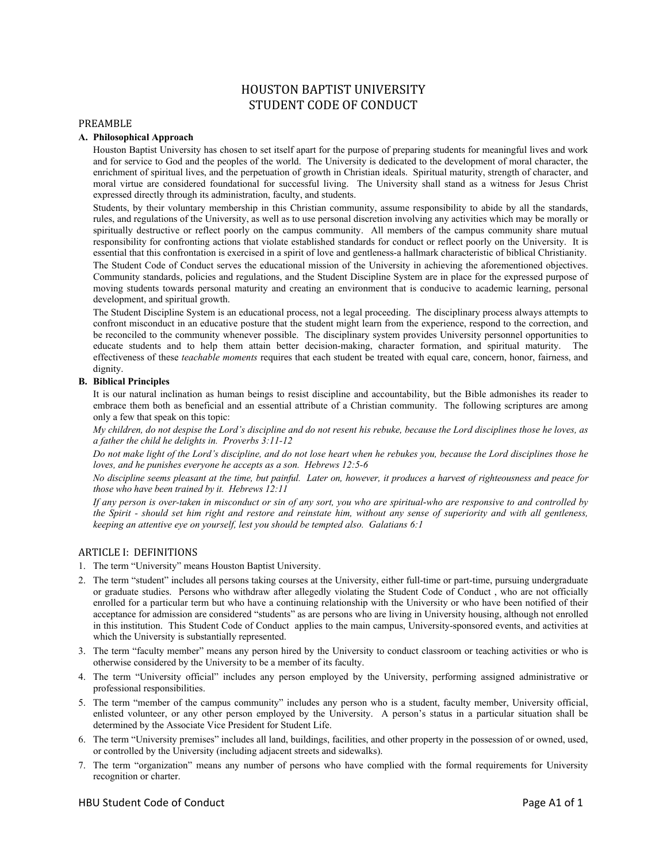# HOUSTON BAPTIST UNIVERSITY STUDENT CODE OF CONDUCT

#### PREAMBLE

#### **A. Philosophical Approach**

 Houston Baptist University has chosen to set itself apart for the purpose of preparing students for meaningful lives and work and for service to God and the peoples of the world. The University is dedicated to the development of moral character, the enrichment of spiritual lives, and the perpetuation of growth in Christian ideals. Spiritual maturity, strength of character, and moral virtue are considered foundational for successful living. The University shall stand as a witness for Jesus Christ expressed directly through its administration, faculty, and students.

 Students, by their voluntary membership in this Christian community, assume responsibility to abide by all the standards, rules, and regulations of the University, as well as to use personal discretion involving any activities which may be morally or spiritually destructive or reflect poorly on the campus community. All members of the campus community share mutual responsibility for confronting actions that violate established standards for conduct or reflect poorly on the University. It is essential that this confrontation is exercised in a spirit of love and gentleness-a hallmark characteristic of biblical Christianity. The Student Code of Conduct serves the educational mission of the University in achieving the aforementioned objectives. Community standards, policies and regulations, and the Student Discipline System are in place for the expressed purpose of moving students towards personal maturity and creating an environment that is conducive to academic learning, personal development, and spiritual growth.

 The Student Discipline System is an educational process, not a legal proceeding. The disciplinary process always attempts to confront misconduct in an educative posture that the student might learn from the experience, respond to the correction, and be reconciled to the community whenever possible. The disciplinary system provides University personnel opportunities to educate students and to help them attain better decision-making, character formation, and spiritual maturity. The effectiveness of these *teachable moments* requires that each student be treated with equal care, concern, honor, fairness, and dignity.

## **B. Biblical Principles**

 It is our natural inclination as human beings to resist discipline and accountability, but the Bible admonishes its reader to embrace them both as beneficial and an essential attribute of a Christian community. The following scriptures are among only a few that speak on this topic:

 *My children, do not despise the Lord's discipline and do not resent his rebuke, because the Lord disciplines those he loves, as a father the child he delights in. Proverbs 3:11-12* 

 *Do not make light of the Lord's discipline, and do not lose heart when he rebukes you, because the Lord disciplines those he loves, and he punishes everyone he accepts as a son. Hebrews 12:5-6* 

*No discipline seems pleasant at the time, but painful. Later on, however, it produces a harvest of righteousness and peace for those who have been trained by it. Hebrews 12:11*

 *If any person is over-taken in misconduct or sin of any sort, you who are spiritual*-*who are responsive to and controlled by the Spirit - should set him right and restore and reinstate him, without any sense of superiority and with all gentleness, keeping an attentive eye on yourself, lest you should be tempted also. Galatians 6:1*

#### ARTICLE I: DEFINITIONS

- 1. The term "University" means Houston Baptist University.
- 2. The term "student" includes all persons taking courses at the University, either full-time or part-time, pursuing undergraduate or graduate studies. Persons who withdraw after allegedly violating the Student Code of Conduct , who are not officially enrolled for a particular term but who have a continuing relationship with the University or who have been notified of their acceptance for admission are considered "students" as are persons who are living in University housing, although not enrolled in this institution. This Student Code of Conduct applies to the main campus, University-sponsored events, and activities at which the University is substantially represented.
- 3. The term "faculty member" means any person hired by the University to conduct classroom or teaching activities or who is otherwise considered by the University to be a member of its faculty.
- 4. The term "University official" includes any person employed by the University, performing assigned administrative or professional responsibilities.
- 5. The term "member of the campus community" includes any person who is a student, faculty member, University official, enlisted volunteer, or any other person employed by the University. A person's status in a particular situation shall be determined by the Associate Vice President for Student Life.
- 6. The term "University premises" includes all land, buildings, facilities, and other property in the possession of or owned, used, or controlled by the University (including adjacent streets and sidewalks).
- 7. The term "organization" means any number of persons who have complied with the formal requirements for University recognition or charter.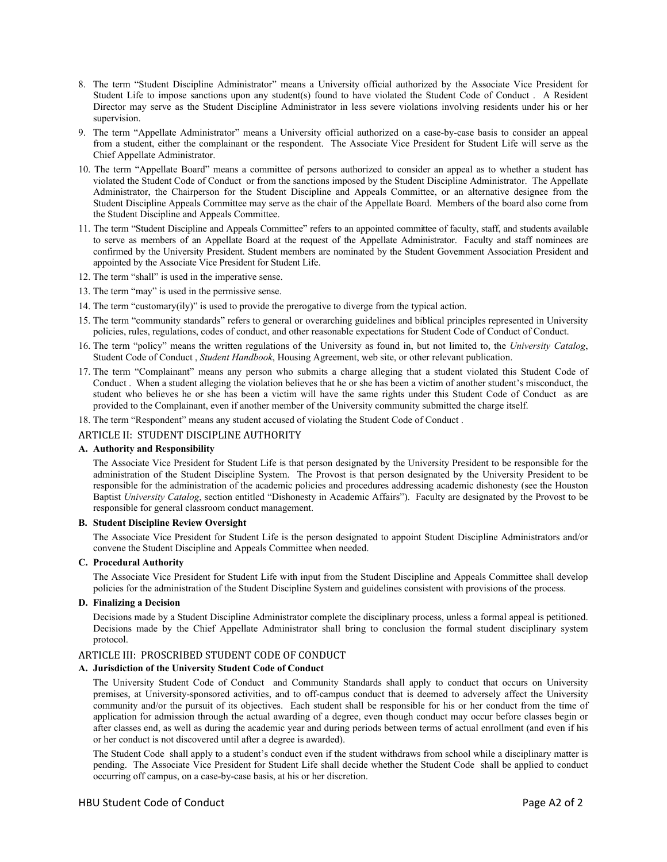- 8. The term "Student Discipline Administrator" means a University official authorized by the Associate Vice President for Student Life to impose sanctions upon any student(s) found to have violated the Student Code of Conduct . A Resident Director may serve as the Student Discipline Administrator in less severe violations involving residents under his or her supervision.
- 9. The term "Appellate Administrator" means a University official authorized on a case-by-case basis to consider an appeal from a student, either the complainant or the respondent. The Associate Vice President for Student Life will serve as the Chief Appellate Administrator.
- 10. The term "Appellate Board" means a committee of persons authorized to consider an appeal as to whether a student has violated the Student Code of Conduct or from the sanctions imposed by the Student Discipline Administrator. The Appellate Administrator, the Chairperson for the Student Discipline and Appeals Committee, or an alternative designee from the Student Discipline Appeals Committee may serve as the chair of the Appellate Board. Members of the board also come from the Student Discipline and Appeals Committee.
- 11. The term "Student Discipline and Appeals Committee" refers to an appointed committee of faculty, staff, and students available to serve as members of an Appellate Board at the request of the Appellate Administrator. Faculty and staff nominees are confirmed by the University President. Student members are nominated by the Student Government Association President and appointed by the Associate Vice President for Student Life.
- 12. The term "shall" is used in the imperative sense.
- 13. The term "may" is used in the permissive sense.
- 14. The term "customary(ily)" is used to provide the prerogative to diverge from the typical action.
- 15. The term "community standards" refers to general or overarching guidelines and biblical principles represented in University policies, rules, regulations, codes of conduct, and other reasonable expectations for Student Code of Conduct of Conduct.
- 16. The term "policy" means the written regulations of the University as found in, but not limited to, the *University Catalog*, Student Code of Conduct , *Student Handbook*, Housing Agreement, web site, or other relevant publication.
- 17. The term "Complainant" means any person who submits a charge alleging that a student violated this Student Code of Conduct . When a student alleging the violation believes that he or she has been a victim of another student's misconduct, the student who believes he or she has been a victim will have the same rights under this Student Code of Conduct as are provided to the Complainant, even if another member of the University community submitted the charge itself.
- 18. The term "Respondent" means any student accused of violating the Student Code of Conduct .

#### ARTICLE II: STUDENT DISCIPLINE AUTHORITY

#### **A. Authority and Responsibility**

 The Associate Vice President for Student Life is that person designated by the University President to be responsible for the administration of the Student Discipline System. The Provost is that person designated by the University President to be responsible for the administration of the academic policies and procedures addressing academic dishonesty (see the Houston Baptist *University Catalog*, section entitled "Dishonesty in Academic Affairs"). Faculty are designated by the Provost to be responsible for general classroom conduct management.

#### **B. Student Discipline Review Oversight**

 The Associate Vice President for Student Life is the person designated to appoint Student Discipline Administrators and/or convene the Student Discipline and Appeals Committee when needed.

#### **C. Procedural Authority**

 The Associate Vice President for Student Life with input from the Student Discipline and Appeals Committee shall develop policies for the administration of the Student Discipline System and guidelines consistent with provisions of the process.

#### **D. Finalizing a Decision**

 Decisions made by a Student Discipline Administrator complete the disciplinary process, unless a formal appeal is petitioned. Decisions made by the Chief Appellate Administrator shall bring to conclusion the formal student disciplinary system protocol.

#### ARTICLE III: PROSCRIBED STUDENT CODE OF CONDUCT

#### **A. Jurisdiction of the University Student Code of Conduct**

 The University Student Code of Conduct and Community Standards shall apply to conduct that occurs on University premises, at University-sponsored activities, and to off-campus conduct that is deemed to adversely affect the University community and/or the pursuit of its objectives. Each student shall be responsible for his or her conduct from the time of application for admission through the actual awarding of a degree, even though conduct may occur before classes begin or after classes end, as well as during the academic year and during periods between terms of actual enrollment (and even if his or her conduct is not discovered until after a degree is awarded).

 The Student Code shall apply to a student's conduct even if the student withdraws from school while a disciplinary matter is pending. The Associate Vice President for Student Life shall decide whether the Student Code shall be applied to conduct occurring off campus, on a case-by-case basis, at his or her discretion.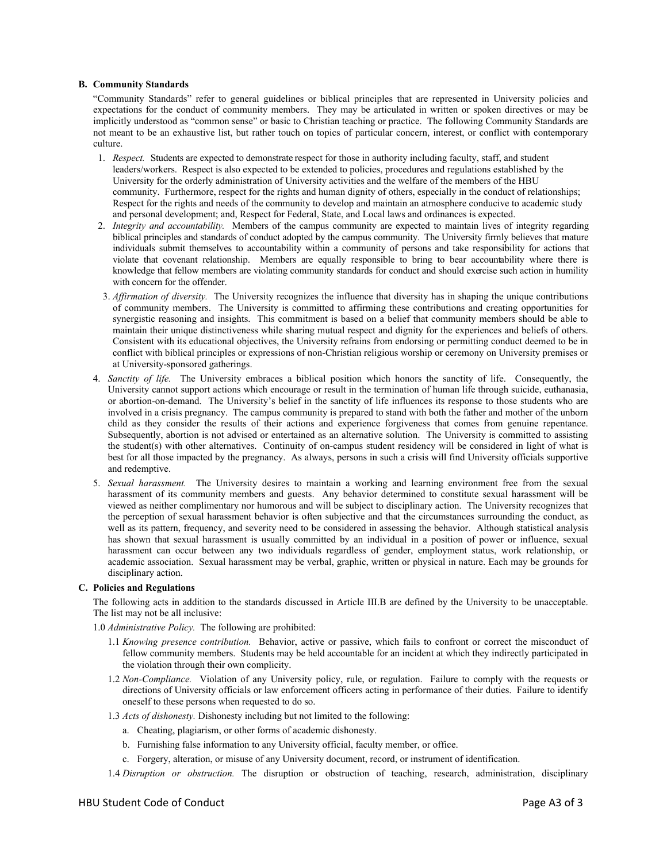#### **B. Community Standards**

 "Community Standards" refer to general guidelines or biblical principles that are represented in University policies and expectations for the conduct of community members. They may be articulated in written or spoken directives or may be implicitly understood as "common sense" or basic to Christian teaching or practice. The following Community Standards are not meant to be an exhaustive list, but rather touch on topics of particular concern, interest, or conflict with contemporary culture.

- 1. *Respect.* Students are expected to demonstrate respect for those in authority including faculty, staff, and student leaders/workers. Respect is also expected to be extended to policies, procedures and regulations established by the University for the orderly administration of University activities and the welfare of the members of the HBU community. Furthermore, respect for the rights and human dignity of others, especially in the conduct of relationships; Respect for the rights and needs of the community to develop and maintain an atmosphere conducive to academic study and personal development; and, Respect for Federal, State, and Local laws and ordinances is expected.
- 2. *Integrity and accountability.* Members of the campus community are expected to maintain lives of integrity regarding biblical principles and standards of conduct adopted by the campus community. The University firmly believes that mature individuals submit themselves to accountability within a community of persons and take responsibility for actions that violate that covenant relationship. Members are equally responsible to bring to bear accountability where there is knowledge that fellow members are violating community standards for conduct and should exercise such action in humility with concern for the offender.
- 3. *Affirmation of diversity.* The University recognizes the influence that diversity has in shaping the unique contributions of community members. The University is committed to affirming these contributions and creating opportunities for synergistic reasoning and insights. This commitment is based on a belief that community members should be able to maintain their unique distinctiveness while sharing mutual respect and dignity for the experiences and beliefs of others. Consistent with its educational objectives, the University refrains from endorsing or permitting conduct deemed to be in conflict with biblical principles or expressions of non-Christian religious worship or ceremony on University premises or at University-sponsored gatherings.
- 4. *Sanctity of life.* The University embraces a biblical position which honors the sanctity of life. Consequently, the University cannot support actions which encourage or result in the termination of human life through suicide, euthanasia, or abortion-on-demand. The University's belief in the sanctity of life influences its response to those students who are involved in a crisis pregnancy. The campus community is prepared to stand with both the father and mother of the unborn child as they consider the results of their actions and experience forgiveness that comes from genuine repentance. Subsequently, abortion is not advised or entertained as an alternative solution. The University is committed to assisting the student(s) with other alternatives. Continuity of on-campus student residency will be considered in light of what is best for all those impacted by the pregnancy. As always, persons in such a crisis will find University officials supportive and redemptive.
- 5. *Sexual harassment.* The University desires to maintain a working and learning environment free from the sexual harassment of its community members and guests. Any behavior determined to constitute sexual harassment will be viewed as neither complimentary nor humorous and will be subject to disciplinary action. The University recognizes that the perception of sexual harassment behavior is often subjective and that the circumstances surrounding the conduct, as well as its pattern, frequency, and severity need to be considered in assessing the behavior. Although statistical analysis has shown that sexual harassment is usually committed by an individual in a position of power or influence, sexual harassment can occur between any two individuals regardless of gender, employment status, work relationship, or academic association. Sexual harassment may be verbal, graphic, written or physical in nature. Each may be grounds for disciplinary action.

#### **C. Policies and Regulations**

 The following acts in addition to the standards discussed in Article III.B are defined by the University to be unacceptable. The list may not be all inclusive:

1.0 *Administrative Policy.* The following are prohibited:

- 1.1 *Knowing presence contribution.* Behavior, active or passive, which fails to confront or correct the misconduct of fellow community members. Students may be held accountable for an incident at which they indirectly participated in the violation through their own complicity.
- 1.2 *Non-Compliance.* Violation of any University policy, rule, or regulation. Failure to comply with the requests or directions of University officials or law enforcement officers acting in performance of their duties. Failure to identify oneself to these persons when requested to do so.
- 1.3 *Acts of dishonesty.* Dishonesty including but not limited to the following:
	- a. Cheating, plagiarism, or other forms of academic dishonesty.
	- b. Furnishing false information to any University official, faculty member, or office.
	- c. Forgery, alteration, or misuse of any University document, record, or instrument of identification.
- 1.4 *Disruption or obstruction.* The disruption or obstruction of teaching, research, administration, disciplinary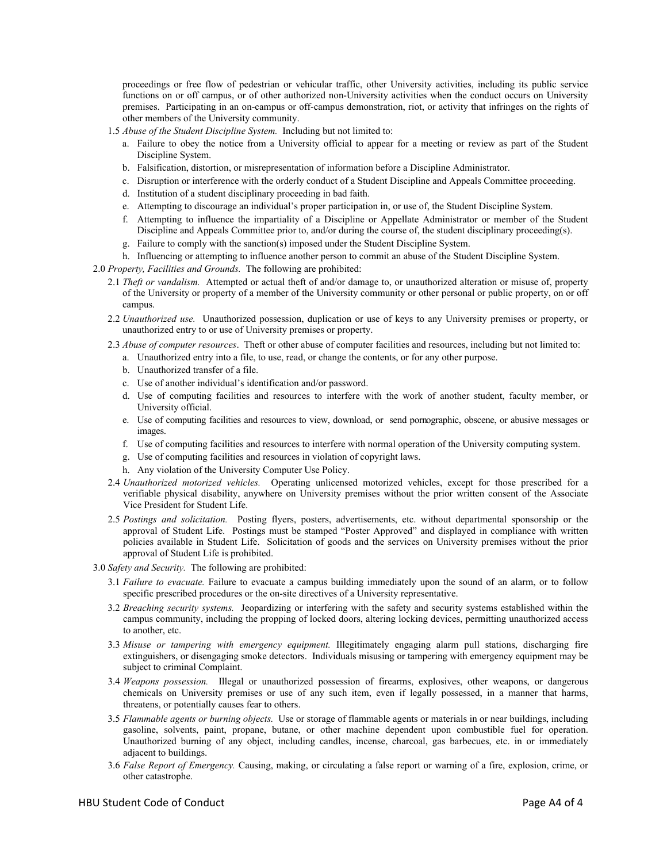proceedings or free flow of pedestrian or vehicular traffic, other University activities, including its public service functions on or off campus, or of other authorized non-University activities when the conduct occurs on University premises. Participating in an on-campus or off-campus demonstration, riot, or activity that infringes on the rights of other members of the University community.

- 1.5 *Abuse of the Student Discipline System.* Including but not limited to:
	- a. Failure to obey the notice from a University official to appear for a meeting or review as part of the Student Discipline System.
	- b. Falsification, distortion, or misrepresentation of information before a Discipline Administrator.
	- c. Disruption or interference with the orderly conduct of a Student Discipline and Appeals Committee proceeding.
	- d. Institution of a student disciplinary proceeding in bad faith.
	- e. Attempting to discourage an individual's proper participation in, or use of, the Student Discipline System.
	- f. Attempting to influence the impartiality of a Discipline or Appellate Administrator or member of the Student Discipline and Appeals Committee prior to, and/or during the course of, the student disciplinary proceeding(s).
	- g. Failure to comply with the sanction(s) imposed under the Student Discipline System.
	- h. Influencing or attempting to influence another person to commit an abuse of the Student Discipline System.
- 2.0 *Property, Facilities and Grounds.* The following are prohibited:
	- 2.1 *Theft or vandalism.* Attempted or actual theft of and/or damage to, or unauthorized alteration or misuse of, property of the University or property of a member of the University community or other personal or public property, on or off campus.
	- 2.2 *Unauthorized use.* Unauthorized possession, duplication or use of keys to any University premises or property, or unauthorized entry to or use of University premises or property.
	- 2.3 *Abuse of computer resources*. Theft or other abuse of computer facilities and resources, including but not limited to:
		- a. Unauthorized entry into a file, to use, read, or change the contents, or for any other purpose.
		- b. Unauthorized transfer of a file.
		- c. Use of another individual's identification and/or password.
		- d. Use of computing facilities and resources to interfere with the work of another student, faculty member, or University official.
		- e. Use of computing facilities and resources to view, download, or send pornographic, obscene, or abusive messages or images.
		- f. Use of computing facilities and resources to interfere with normal operation of the University computing system.
		- g. Use of computing facilities and resources in violation of copyright laws.
		- h. Any violation of the University Computer Use Policy.
	- 2.4 *Unauthorized motorized vehicles.* Operating unlicensed motorized vehicles, except for those prescribed for a verifiable physical disability, anywhere on University premises without the prior written consent of the Associate Vice President for Student Life.
	- 2.5 *Postings and solicitation.* Posting flyers, posters, advertisements, etc. without departmental sponsorship or the approval of Student Life. Postings must be stamped "Poster Approved" and displayed in compliance with written policies available in Student Life. Solicitation of goods and the services on University premises without the prior approval of Student Life is prohibited.
- 3.0 *Safety and Security.* The following are prohibited:
	- 3.1 *Failure to evacuate.* Failure to evacuate a campus building immediately upon the sound of an alarm, or to follow specific prescribed procedures or the on-site directives of a University representative.
	- 3.2 *Breaching security systems.* Jeopardizing or interfering with the safety and security systems established within the campus community, including the propping of locked doors, altering locking devices, permitting unauthorized access to another, etc.
	- 3.3 *Misuse or tampering with emergency equipment.* Illegitimately engaging alarm pull stations, discharging fire extinguishers, or disengaging smoke detectors. Individuals misusing or tampering with emergency equipment may be subject to criminal Complaint.
	- 3.4 *Weapons possession.* Illegal or unauthorized possession of firearms, explosives, other weapons, or dangerous chemicals on University premises or use of any such item, even if legally possessed, in a manner that harms, threatens, or potentially causes fear to others.
	- 3.5 *Flammable agents or burning objects.* Use or storage of flammable agents or materials in or near buildings, including gasoline, solvents, paint, propane, butane, or other machine dependent upon combustible fuel for operation. Unauthorized burning of any object, including candles, incense, charcoal, gas barbecues, etc. in or immediately adjacent to buildings.
	- 3.6 *False Report of Emergency.* Causing, making, or circulating a false report or warning of a fire, explosion, crime, or other catastrophe.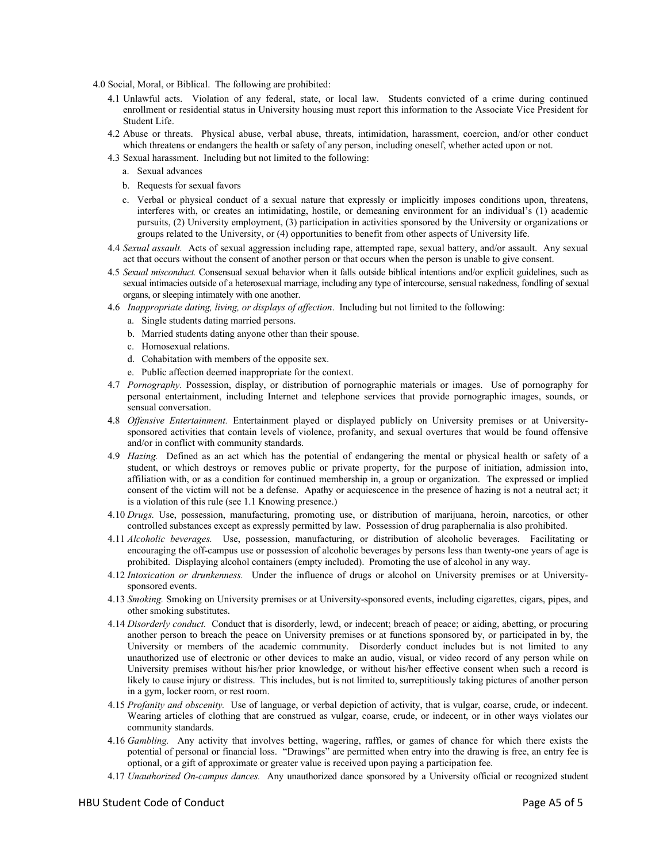4.0 Social, Moral, or Biblical. The following are prohibited:

- 4.1 Unlawful acts. Violation of any federal, state, or local law. Students convicted of a crime during continued enrollment or residential status in University housing must report this information to the Associate Vice President for Student Life.
- 4.2 Abuse or threats. Physical abuse, verbal abuse, threats, intimidation, harassment, coercion, and/or other conduct which threatens or endangers the health or safety of any person, including oneself, whether acted upon or not.
- 4.3 Sexual harassment. Including but not limited to the following:
	- a. Sexual advances
	- b. Requests for sexual favors
	- c. Verbal or physical conduct of a sexual nature that expressly or implicitly imposes conditions upon, threatens, interferes with, or creates an intimidating, hostile, or demeaning environment for an individual's (1) academic pursuits, (2) University employment, (3) participation in activities sponsored by the University or organizations or groups related to the University, or (4) opportunities to benefit from other aspects of University life.
- 4.4 *Sexual assault.* Acts of sexual aggression including rape, attempted rape, sexual battery, and/or assault. Any sexual act that occurs without the consent of another person or that occurs when the person is unable to give consent.
- 4.5 *Sexual misconduct.* Consensual sexual behavior when it falls outside biblical intentions and/or explicit guidelines, such as sexual intimacies outside of a heterosexual marriage, including any type of intercourse, sensual nakedness, fondling of sexual organs, or sleeping intimately with one another.
- 4.6 *Inappropriate dating, living, or displays of affection*. Including but not limited to the following:
	- a. Single students dating married persons.
	- b. Married students dating anyone other than their spouse.
	- c. Homosexual relations.
	- d. Cohabitation with members of the opposite sex.
	- e. Public affection deemed inappropriate for the context.
- 4.7 *Pornography.* Possession, display, or distribution of pornographic materials or images. Use of pornography for personal entertainment, including Internet and telephone services that provide pornographic images, sounds, or sensual conversation.
- 4.8 *Offensive Entertainment.* Entertainment played or displayed publicly on University premises or at Universitysponsored activities that contain levels of violence, profanity, and sexual overtures that would be found offensive and/or in conflict with community standards.
- 4.9 *Hazing.* Defined as an act which has the potential of endangering the mental or physical health or safety of a student, or which destroys or removes public or private property, for the purpose of initiation, admission into, affiliation with, or as a condition for continued membership in, a group or organization. The expressed or implied consent of the victim will not be a defense. Apathy or acquiescence in the presence of hazing is not a neutral act; it is a violation of this rule (see 1.1 Knowing presence.)
- 4.10 *Drugs.* Use, possession, manufacturing, promoting use, or distribution of marijuana, heroin, narcotics, or other controlled substances except as expressly permitted by law. Possession of drug paraphernalia is also prohibited.
- 4.11 *Alcoholic beverages.* Use, possession, manufacturing, or distribution of alcoholic beverages. Facilitating or encouraging the off-campus use or possession of alcoholic beverages by persons less than twenty-one years of age is prohibited. Displaying alcohol containers (empty included). Promoting the use of alcohol in any way.
- 4.12 *Intoxication or drunkenness.* Under the influence of drugs or alcohol on University premises or at Universitysponsored events.
- 4.13 *Smoking.* Smoking on University premises or at University-sponsored events, including cigarettes, cigars, pipes, and other smoking substitutes.
- 4.14 *Disorderly conduct.* Conduct that is disorderly, lewd, or indecent; breach of peace; or aiding, abetting, or procuring another person to breach the peace on University premises or at functions sponsored by, or participated in by, the University or members of the academic community. Disorderly conduct includes but is not limited to any unauthorized use of electronic or other devices to make an audio, visual, or video record of any person while on University premises without his/her prior knowledge, or without his/her effective consent when such a record is likely to cause injury or distress. This includes, but is not limited to, surreptitiously taking pictures of another person in a gym, locker room, or rest room.
- 4.15 *Profanity and obscenity.* Use of language, or verbal depiction of activity, that is vulgar, coarse, crude, or indecent. Wearing articles of clothing that are construed as vulgar, coarse, crude, or indecent, or in other ways violates our community standards.
- 4.16 *Gambling.* Any activity that involves betting, wagering, raffles, or games of chance for which there exists the potential of personal or financial loss. "Drawings" are permitted when entry into the drawing is free, an entry fee is optional, or a gift of approximate or greater value is received upon paying a participation fee.
- 4.17 *Unauthorized On-campus dances.* Any unauthorized dance sponsored by a University official or recognized student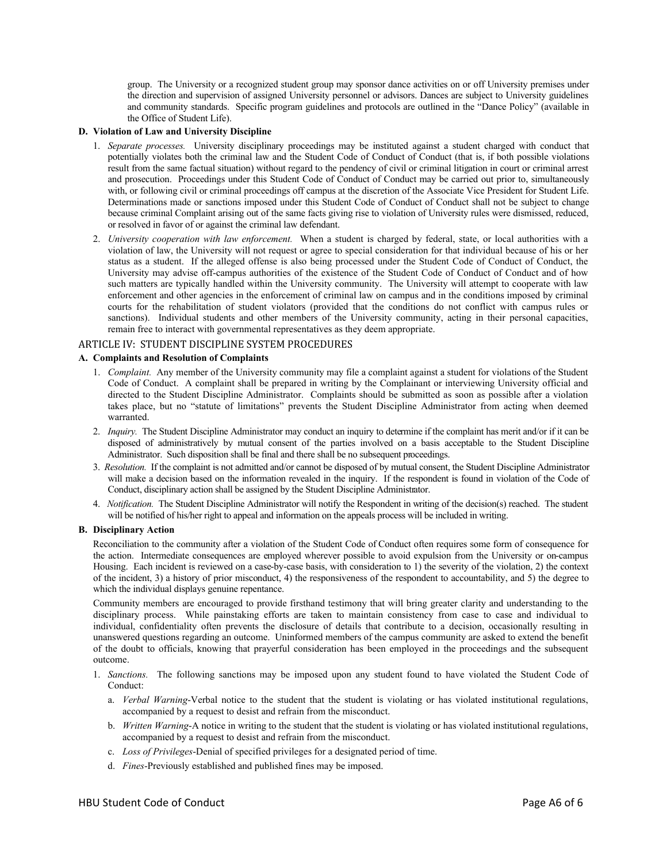group. The University or a recognized student group may sponsor dance activities on or off University premises under the direction and supervision of assigned University personnel or advisors. Dances are subject to University guidelines and community standards. Specific program guidelines and protocols are outlined in the "Dance Policy" (available in the Office of Student Life).

#### **D. Violation of Law and University Discipline**

- 1. *Separate processes.* University disciplinary proceedings may be instituted against a student charged with conduct that potentially violates both the criminal law and the Student Code of Conduct of Conduct (that is, if both possible violations result from the same factual situation) without regard to the pendency of civil or criminal litigation in court or criminal arrest and prosecution. Proceedings under this Student Code of Conduct of Conduct may be carried out prior to, simultaneously with, or following civil or criminal proceedings off campus at the discretion of the Associate Vice President for Student Life. Determinations made or sanctions imposed under this Student Code of Conduct of Conduct shall not be subject to change because criminal Complaint arising out of the same facts giving rise to violation of University rules were dismissed, reduced, or resolved in favor of or against the criminal law defendant.
- 2. *University cooperation with law enforcement.* When a student is charged by federal, state, or local authorities with a violation of law, the University will not request or agree to special consideration for that individual because of his or her status as a student. If the alleged offense is also being processed under the Student Code of Conduct of Conduct, the University may advise off-campus authorities of the existence of the Student Code of Conduct of Conduct and of how such matters are typically handled within the University community. The University will attempt to cooperate with law enforcement and other agencies in the enforcement of criminal law on campus and in the conditions imposed by criminal courts for the rehabilitation of student violators (provided that the conditions do not conflict with campus rules or sanctions). Individual students and other members of the University community, acting in their personal capacities, remain free to interact with governmental representatives as they deem appropriate.

#### ARTICLE IV: STUDENT DISCIPLINE SYSTEM PROCEDURES

#### **A. Complaints and Resolution of Complaints**

- 1. *Complaint.* Any member of the University community may file a complaint against a student for violations of the Student Code of Conduct. A complaint shall be prepared in writing by the Complainant or interviewing University official and directed to the Student Discipline Administrator. Complaints should be submitted as soon as possible after a violation takes place, but no "statute of limitations" prevents the Student Discipline Administrator from acting when deemed warranted.
- 2. *Inquiry.* The Student Discipline Administrator may conduct an inquiry to determine if the complaint has merit and/or if it can be disposed of administratively by mutual consent of the parties involved on a basis acceptable to the Student Discipline Administrator. Such disposition shall be final and there shall be no subsequent proceedings.
- 3. *Resolution.* If the complaint is not admitted and/or cannot be disposed of by mutual consent, the Student Discipline Administrator will make a decision based on the information revealed in the inquiry. If the respondent is found in violation of the Code of Conduct, disciplinary action shall be assigned by the Student Discipline Administrator.
- 4. *Notification.* The Student Discipline Administrator will notify the Respondent in writing of the decision(s) reached. The student will be notified of his/her right to appeal and information on the appeals process will be included in writing.

#### **B. Disciplinary Action**

 Reconciliation to the community after a violation of the Student Code of Conduct often requires some form of consequence for the action. Intermediate consequences are employed wherever possible to avoid expulsion from the University or on-campus Housing. Each incident is reviewed on a case-by-case basis, with consideration to 1) the severity of the violation, 2) the context of the incident, 3) a history of prior misconduct, 4) the responsiveness of the respondent to accountability, and 5) the degree to which the individual displays genuine repentance.

 Community members are encouraged to provide firsthand testimony that will bring greater clarity and understanding to the disciplinary process. While painstaking efforts are taken to maintain consistency from case to case and individual to individual, confidentiality often prevents the disclosure of details that contribute to a decision, occasionally resulting in unanswered questions regarding an outcome. Uninformed members of the campus community are asked to extend the benefit of the doubt to officials, knowing that prayerful consideration has been employed in the proceedings and the subsequent outcome.

- 1. *Sanctions.* The following sanctions may be imposed upon any student found to have violated the Student Code of Conduct:
	- a. *Verbal Warning*-Verbal notice to the student that the student is violating or has violated institutional regulations, accompanied by a request to desist and refrain from the misconduct.
	- b. *Written Warning*-A notice in writing to the student that the student is violating or has violated institutional regulations, accompanied by a request to desist and refrain from the misconduct.
	- c. *Loss of Privileges*-Denial of specified privileges for a designated period of time.
	- d. *Fines*-Previously established and published fines may be imposed.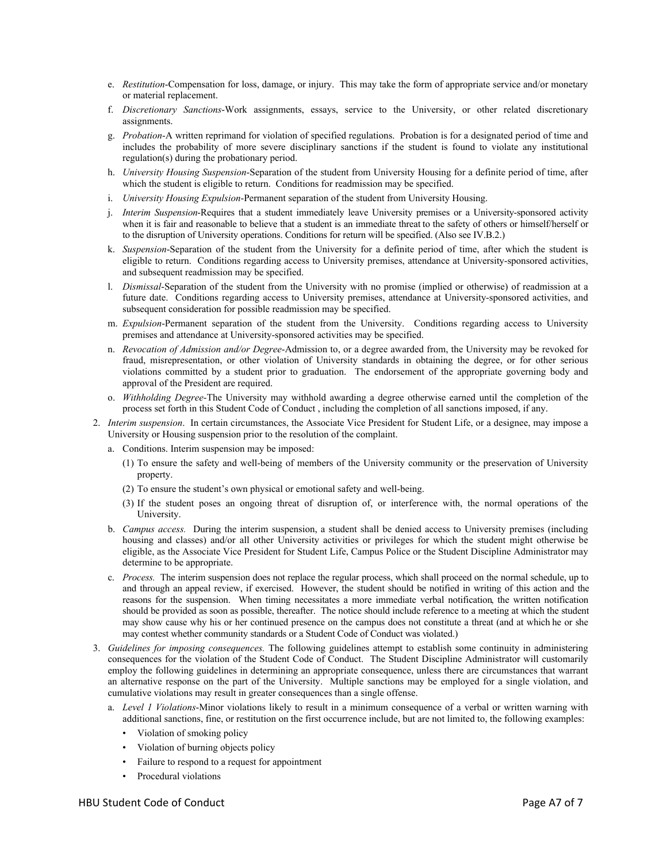- e. *Restitution*-Compensation for loss, damage, or injury. This may take the form of appropriate service and/or monetary or material replacement.
- f. *Discretionary Sanctions*-Work assignments, essays, service to the University, or other related discretionary assignments.
- g. *Probation*-A written reprimand for violation of specified regulations. Probation is for a designated period of time and includes the probability of more severe disciplinary sanctions if the student is found to violate any institutional regulation(s) during the probationary period.
- h. *University Housing Suspension*-Separation of the student from University Housing for a definite period of time, after which the student is eligible to return. Conditions for readmission may be specified.
- i. *University Housing Expulsion*-Permanent separation of the student from University Housing.
- j. *Interim Suspension*-Requires that a student immediately leave University premises or a University-sponsored activity when it is fair and reasonable to believe that a student is an immediate threat to the safety of others or himself/herself or to the disruption of University operations. Conditions for return will be specified. (Also see IV.B.2.)
- k. *Suspension*-Separation of the student from the University for a definite period of time, after which the student is eligible to return. Conditions regarding access to University premises, attendance at University-sponsored activities, and subsequent readmission may be specified.
- l. *Dismissal*-Separation of the student from the University with no promise (implied or otherwise) of readmission at a future date. Conditions regarding access to University premises, attendance at University-sponsored activities, and subsequent consideration for possible readmission may be specified.
- m. *Expulsion*-Permanent separation of the student from the University. Conditions regarding access to University premises and attendance at University-sponsored activities may be specified.
- n. *Revocation of Admission and/or Degree*-Admission to, or a degree awarded from, the University may be revoked for fraud, misrepresentation, or other violation of University standards in obtaining the degree, or for other serious violations committed by a student prior to graduation. The endorsement of the appropriate governing body and approval of the President are required.
- o. *Withholding Degree*-The University may withhold awarding a degree otherwise earned until the completion of the process set forth in this Student Code of Conduct , including the completion of all sanctions imposed, if any.
- 2. *Interim suspension*. In certain circumstances, the Associate Vice President for Student Life, or a designee, may impose a University or Housing suspension prior to the resolution of the complaint.
	- a. Conditions. Interim suspension may be imposed:
		- (1) To ensure the safety and well-being of members of the University community or the preservation of University property.
		- (2) To ensure the student's own physical or emotional safety and well-being.
		- (3) If the student poses an ongoing threat of disruption of, or interference with, the normal operations of the University.
	- b. *Campus access.* During the interim suspension, a student shall be denied access to University premises (including housing and classes) and/or all other University activities or privileges for which the student might otherwise be eligible, as the Associate Vice President for Student Life, Campus Police or the Student Discipline Administrator may determine to be appropriate.
	- c. *Process.* The interim suspension does not replace the regular process, which shall proceed on the normal schedule, up to and through an appeal review, if exercised. However, the student should be notified in writing of this action and the reasons for the suspension. When timing necessitates a more immediate verbal notification, the written notification should be provided as soon as possible, thereafter. The notice should include reference to a meeting at which the student may show cause why his or her continued presence on the campus does not constitute a threat (and at which he or she may contest whether community standards or a Student Code of Conduct was violated.)
- 3. *Guidelines for imposing consequences.* The following guidelines attempt to establish some continuity in administering consequences for the violation of the Student Code of Conduct. The Student Discipline Administrator will customarily employ the following guidelines in determining an appropriate consequence, unless there are circumstances that warrant an alternative response on the part of the University. Multiple sanctions may be employed for a single violation, and cumulative violations may result in greater consequences than a single offense.
	- a. *Level 1 Violations*-Minor violations likely to result in a minimum consequence of a verbal or written warning with additional sanctions, fine, or restitution on the first occurrence include, but are not limited to, the following examples:
		- Violation of smoking policy
		- Violation of burning objects policy
		- Failure to respond to a request for appointment
		- Procedural violations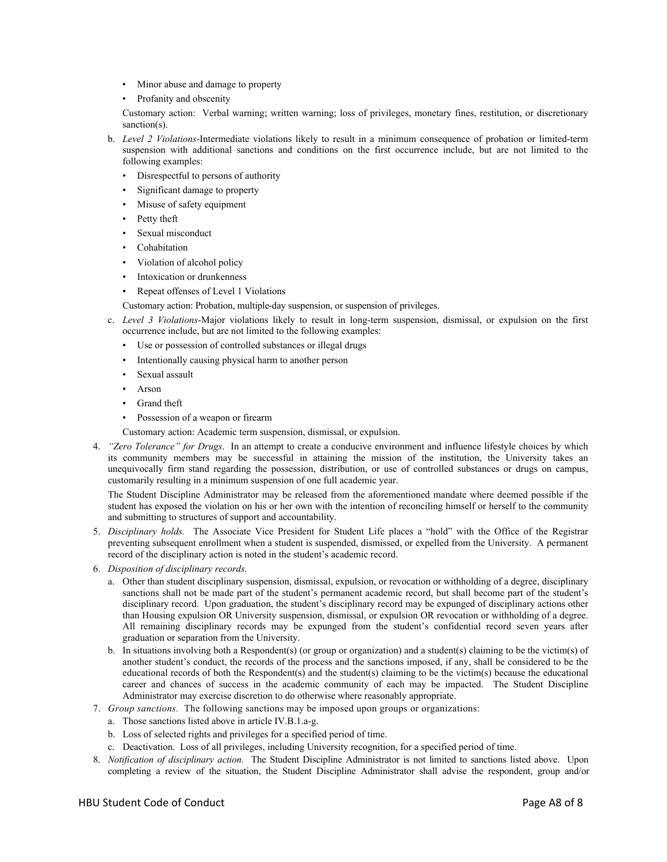- Minor abuse and damage to property
- Profanity and obscenity

 Customary action: Verbal warning; written warning; loss of privileges, monetary fines, restitution, or discretionary sanction(s).

- b. *Level 2 Violations*-Intermediate violations likely to result in a minimum consequence of probation or limited-term suspension with additional sanctions and conditions on the first occurrence include, but are not limited to the following examples:
	- Disrespectful to persons of authority
	- Significant damage to property
	- Misuse of safety equipment
	- Petty theft
	- Sexual misconduct
	- **Cohabitation**
	- Violation of alcohol policy
	- Intoxication or drunkenness
	- Repeat offenses of Level 1 Violations

Customary action: Probation, multiple-day suspension, or suspension of privileges.

- c. *Level 3 Violations*-Major violations likely to result in long-term suspension, dismissal, or expulsion on the first occurrence include, but are not limited to the following examples:
	- Use or possession of controlled substances or illegal drugs
	- Intentionally causing physical harm to another person
	- Sexual assault
	- Arson
	- Grand theft
	- Possession of a weapon or firearm

Customary action: Academic term suspension, dismissal, or expulsion.

4. *"Zero Tolerance" for Drugs*. In an attempt to create a conducive environment and influence lifestyle choices by which its community members may be successful in attaining the mission of the institution, the University takes an unequivocally firm stand regarding the possession, distribution, or use of controlled substances or drugs on campus, customarily resulting in a minimum suspension of one full academic year.

 The Student Discipline Administrator may be released from the aforementioned mandate where deemed possible if the student has exposed the violation on his or her own with the intention of reconciling himself or herself to the community and submitting to structures of support and accountability.

- 5. *Disciplinary holds.* The Associate Vice President for Student Life places a "hold" with the Office of the Registrar preventing subsequent enrollment when a student is suspended, dismissed, or expelled from the University. A permanent record of the disciplinary action is noted in the student's academic record.
- 6. *Disposition of disciplinary records.* 
	- a. Other than student disciplinary suspension, dismissal, expulsion, or revocation or withholding of a degree, disciplinary sanctions shall not be made part of the student's permanent academic record, but shall become part of the student's disciplinary record. Upon graduation, the student's disciplinary record may be expunged of disciplinary actions other than Housing expulsion OR University suspension, dismissal, or expulsion OR revocation or withholding of a degree. All remaining disciplinary records may be expunged from the student's confidential record seven years after graduation or separation from the University.
	- b. In situations involving both a Respondent(s) (or group or organization) and a student(s) claiming to be the victim(s) of another student's conduct, the records of the process and the sanctions imposed, if any, shall be considered to be the educational records of both the Respondent(s) and the student(s) claiming to be the victim(s) because the educational career and chances of success in the academic community of each may be impacted. The Student Discipline Administrator may exercise discretion to do otherwise where reasonably appropriate.
- 7. *Group sanctions.* The following sanctions may be imposed upon groups or organizations:
	- a. Those sanctions listed above in article IV.B.1.a-g.
	- b. Loss of selected rights and privileges for a specified period of time.
	- c. Deactivation. Loss of all privileges, including University recognition, for a specified period of time.
- 8. *Notification of disciplinary action.* The Student Discipline Administrator is not limited to sanctions listed above. Upon completing a review of the situation, the Student Discipline Administrator shall advise the respondent, group and/or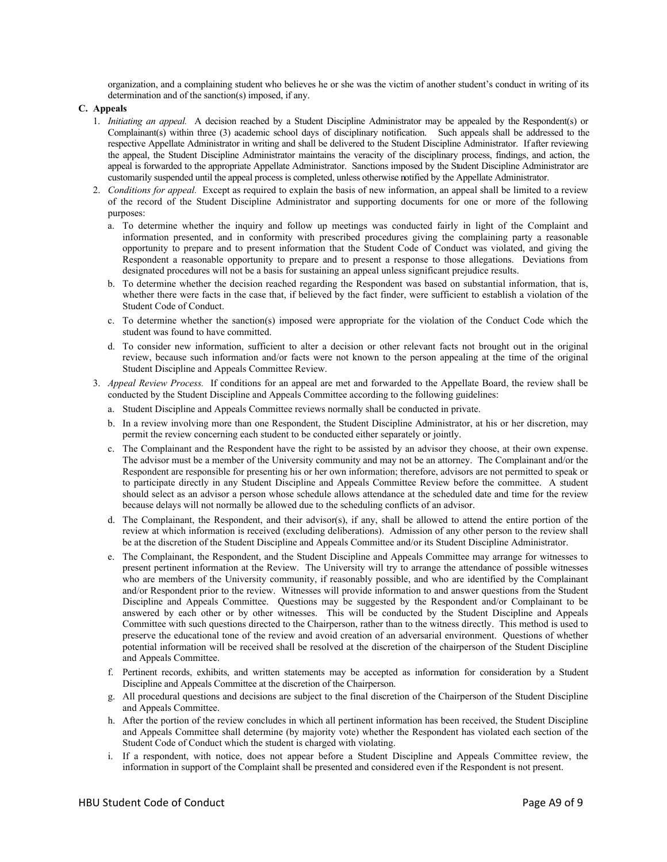organization, and a complaining student who believes he or she was the victim of another student's conduct in writing of its determination and of the sanction(s) imposed, if any.

**C. Appeals** 

- 1. *Initiating an appeal.* A decision reached by a Student Discipline Administrator may be appealed by the Respondent(s) or Complainant(s) within three (3) academic school days of disciplinary notification. Such appeals shall be addressed to the respective Appellate Administrator in writing and shall be delivered to the Student Discipline Administrator. If after reviewing the appeal, the Student Discipline Administrator maintains the veracity of the disciplinary process, findings, and action, the appeal is forwarded to the appropriate Appellate Administrator. Sanctions imposed by the Student Discipline Administrator are customarily suspended until the appeal process is completed, unless otherwise notified by the Appellate Administrator.
- 2. *Conditions for appeal.* Except as required to explain the basis of new information, an appeal shall be limited to a review of the record of the Student Discipline Administrator and supporting documents for one or more of the following purposes:
	- a. To determine whether the inquiry and follow up meetings was conducted fairly in light of the Complaint and information presented, and in conformity with prescribed procedures giving the complaining party a reasonable opportunity to prepare and to present information that the Student Code of Conduct was violated, and giving the Respondent a reasonable opportunity to prepare and to present a response to those allegations. Deviations from designated procedures will not be a basis for sustaining an appeal unless significant prejudice results.
	- b. To determine whether the decision reached regarding the Respondent was based on substantial information, that is, whether there were facts in the case that, if believed by the fact finder, were sufficient to establish a violation of the Student Code of Conduct.
	- c. To determine whether the sanction(s) imposed were appropriate for the violation of the Conduct Code which the student was found to have committed.
	- d. To consider new information, sufficient to alter a decision or other relevant facts not brought out in the original review, because such information and/or facts were not known to the person appealing at the time of the original Student Discipline and Appeals Committee Review.
- 3. *Appeal Review Process.* If conditions for an appeal are met and forwarded to the Appellate Board, the review shall be conducted by the Student Discipline and Appeals Committee according to the following guidelines:
	- a. Student Discipline and Appeals Committee reviews normally shall be conducted in private.
	- b. In a review involving more than one Respondent, the Student Discipline Administrator, at his or her discretion, may permit the review concerning each student to be conducted either separately or jointly.
	- c. The Complainant and the Respondent have the right to be assisted by an advisor they choose, at their own expense. The advisor must be a member of the University community and may not be an attorney. The Complainant and/or the Respondent are responsible for presenting his or her own information; therefore, advisors are not permitted to speak or to participate directly in any Student Discipline and Appeals Committee Review before the committee. A student should select as an advisor a person whose schedule allows attendance at the scheduled date and time for the review because delays will not normally be allowed due to the scheduling conflicts of an advisor.
	- d. The Complainant, the Respondent, and their advisor(s), if any, shall be allowed to attend the entire portion of the review at which information is received (excluding deliberations). Admission of any other person to the review shall be at the discretion of the Student Discipline and Appeals Committee and/or its Student Discipline Administrator.
	- e. The Complainant, the Respondent, and the Student Discipline and Appeals Committee may arrange for witnesses to present pertinent information at the Review. The University will try to arrange the attendance of possible witnesses who are members of the University community, if reasonably possible, and who are identified by the Complainant and/or Respondent prior to the review. Witnesses will provide information to and answer questions from the Student Discipline and Appeals Committee. Questions may be suggested by the Respondent and/or Complainant to be answered by each other or by other witnesses. This will be conducted by the Student Discipline and Appeals Committee with such questions directed to the Chairperson, rather than to the witness directly. This method is used to preserve the educational tone of the review and avoid creation of an adversarial environment. Questions of whether potential information will be received shall be resolved at the discretion of the chairperson of the Student Discipline and Appeals Committee.
	- f. Pertinent records, exhibits, and written statements may be accepted as information for consideration by a Student Discipline and Appeals Committee at the discretion of the Chairperson.
	- g. All procedural questions and decisions are subject to the final discretion of the Chairperson of the Student Discipline and Appeals Committee.
	- h. After the portion of the review concludes in which all pertinent information has been received, the Student Discipline and Appeals Committee shall determine (by majority vote) whether the Respondent has violated each section of the Student Code of Conduct which the student is charged with violating.
	- i. If a respondent, with notice, does not appear before a Student Discipline and Appeals Committee review, the information in support of the Complaint shall be presented and considered even if the Respondent is not present.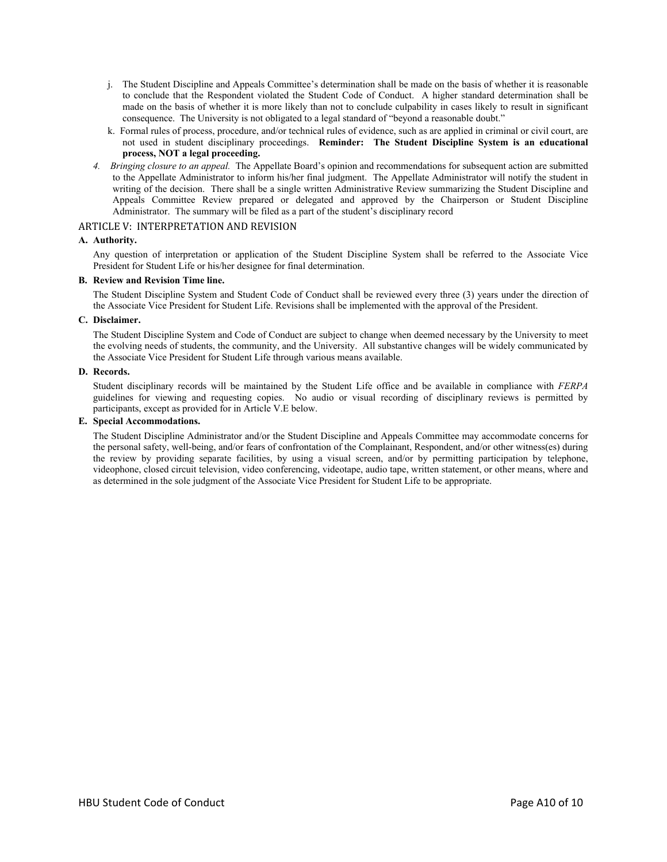- j. The Student Discipline and Appeals Committee's determination shall be made on the basis of whether it is reasonable to conclude that the Respondent violated the Student Code of Conduct. A higher standard determination shall be made on the basis of whether it is more likely than not to conclude culpability in cases likely to result in significant consequence. The University is not obligated to a legal standard of "beyond a reasonable doubt."
- k. Formal rules of process, procedure, and/or technical rules of evidence, such as are applied in criminal or civil court, are not used in student disciplinary proceedings. **Reminder: The Student Discipline System is an educational process, NOT a legal proceeding.**
- *4. Bringing closure to an appeal.* The Appellate Board's opinion and recommendations for subsequent action are submitted to the Appellate Administrator to inform his/her final judgment. The Appellate Administrator will notify the student in writing of the decision. There shall be a single written Administrative Review summarizing the Student Discipline and Appeals Committee Review prepared or delegated and approved by the Chairperson or Student Discipline Administrator. The summary will be filed as a part of the student's disciplinary record

#### ARTICLE V: INTERPRETATION AND REVISION

#### **A. Authority.**

 Any question of interpretation or application of the Student Discipline System shall be referred to the Associate Vice President for Student Life or his/her designee for final determination.

#### **B. Review and Revision Time line.**

 The Student Discipline System and Student Code of Conduct shall be reviewed every three (3) years under the direction of the Associate Vice President for Student Life. Revisions shall be implemented with the approval of the President.

#### **C. Disclaimer.**

 The Student Discipline System and Code of Conduct are subject to change when deemed necessary by the University to meet the evolving needs of students, the community, and the University. All substantive changes will be widely communicated by the Associate Vice President for Student Life through various means available.

#### **D. Records.**

Student disciplinary records will be maintained by the Student Life office and be available in compliance with *FERPA* guidelines for viewing and requesting copies. No audio or visual recording of disciplinary reviews is permitted by participants, except as provided for in Article V.E below.

#### **E. Special Accommodations.**

The Student Discipline Administrator and/or the Student Discipline and Appeals Committee may accommodate concerns for the personal safety, well-being, and/or fears of confrontation of the Complainant, Respondent, and/or other witness(es) during the review by providing separate facilities, by using a visual screen, and/or by permitting participation by telephone, videophone, closed circuit television, video conferencing, videotape, audio tape, written statement, or other means, where and as determined in the sole judgment of the Associate Vice President for Student Life to be appropriate.